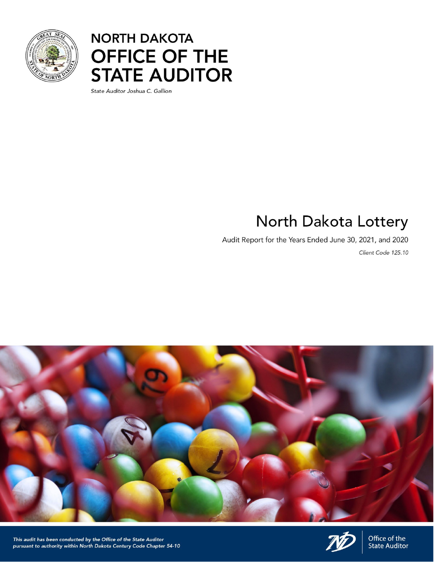

# **NORTH DAKOTA OFFICE OF THE STATE AUDITOR**

State Auditor Joshua C. Gallion

# North Dakota Lottery

Audit Report for the Years Ended June 30, 2021, and 2020 Client Code 125.10



This audit has been conducted by the Office of the State Auditor pursuant to authority within North Dakota Century Code Chapter 54-10



Office of the **State Auditor**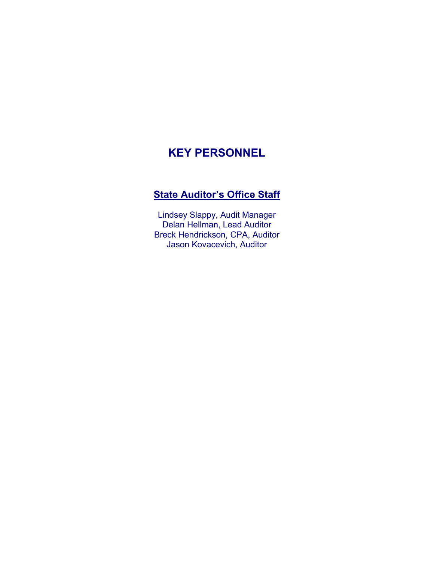## **KEY PERSONNEL**

## **State Auditor's Office Staff**

Lindsey Slappy, Audit Manager Delan Hellman, Lead Auditor Breck Hendrickson, CPA, Auditor Jason Kovacevich, Auditor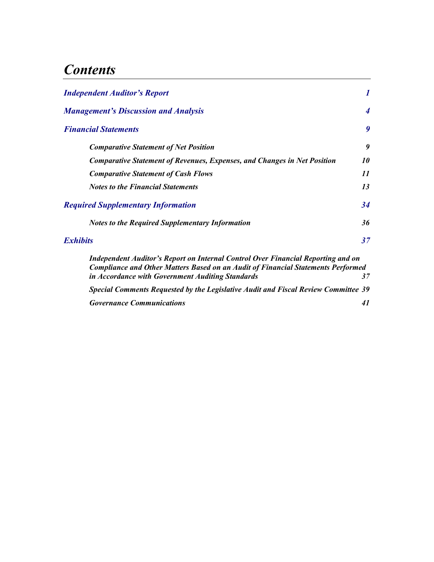# *Contents*

| <b>Independent Auditor's Report</b>                                                                                                                                                                                             | $\boldsymbol{l}$          |
|---------------------------------------------------------------------------------------------------------------------------------------------------------------------------------------------------------------------------------|---------------------------|
| <b>Management's Discussion and Analysis</b>                                                                                                                                                                                     | $\boldsymbol{\varLambda}$ |
| <b>Financial Statements</b>                                                                                                                                                                                                     | 9                         |
| <b>Comparative Statement of Net Position</b>                                                                                                                                                                                    | 9                         |
| <b>Comparative Statement of Revenues, Expenses, and Changes in Net Position</b>                                                                                                                                                 | 10                        |
| <b>Comparative Statement of Cash Flows</b>                                                                                                                                                                                      | 11                        |
| <b>Notes to the Financial Statements</b>                                                                                                                                                                                        | 13                        |
| <b>Required Supplementary Information</b>                                                                                                                                                                                       | 34                        |
| <b>Notes to the Required Supplementary Information</b>                                                                                                                                                                          | 36                        |
| <b>Exhibits</b>                                                                                                                                                                                                                 | 37                        |
| Independent Auditor's Report on Internal Control Over Financial Reporting and on<br><b>Compliance and Other Matters Based on an Audit of Financial Statements Performed</b><br>in Accordance with Government Auditing Standards | 37                        |
| Special Comments Requested by the Legislative Audit and Fiscal Review Committee 39                                                                                                                                              |                           |
| <b>Governance Communications</b>                                                                                                                                                                                                | 41                        |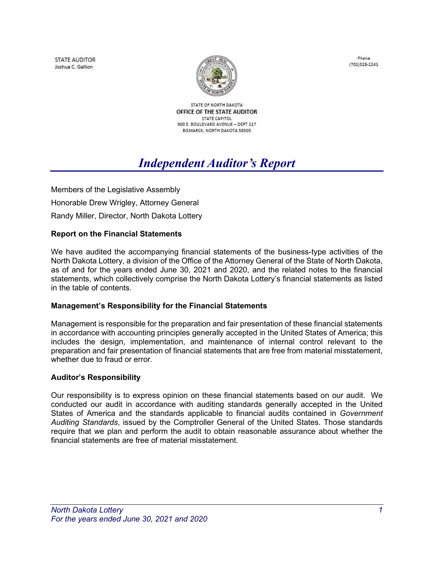**STATE AUDITOR** Joshua C. Gallion



Phone (701)328-2241

STATE OF NORTH DAKOTA OFFICE OF THE STATE AUDITOR STATE CAPITOL 600 E. BOULEVARD AVENUE - DEPT 117 BISMARCK, NORTH DAKOTA 58505

# *Independent Auditor's Report*

Members of the Legislative Assembly Honorable Drew Wrigley, Attorney General Randy Miller, Director, North Dakota Lottery

## **Report on the Financial Statements**

We have audited the accompanying financial statements of the business-type activities of the North Dakota Lottery, a division of the Office of the Attorney General of the State of North Dakota, as of and for the years ended June 30, 2021 and 2020, and the related notes to the financial statements, which collectively comprise the North Dakota Lottery's financial statements as listed in the table of contents.

## **Management's Responsibility for the Financial Statements**

Management is responsible for the preparation and fair presentation of these financial statements in accordance with accounting principles generally accepted in the United States of America; this includes the design, implementation, and maintenance of internal control relevant to the preparation and fair presentation of financial statements that are free from material misstatement, whether due to fraud or error.

## **Auditor's Responsibility**

Our responsibility is to express opinion on these financial statements based on our audit. We conducted our audit in accordance with auditing standards generally accepted in the United States of America and the standards applicable to financial audits contained in *Government Auditing Standards*, issued by the Comptroller General of the United States. Those standards require that we plan and perform the audit to obtain reasonable assurance about whether the financial statements are free of material misstatement.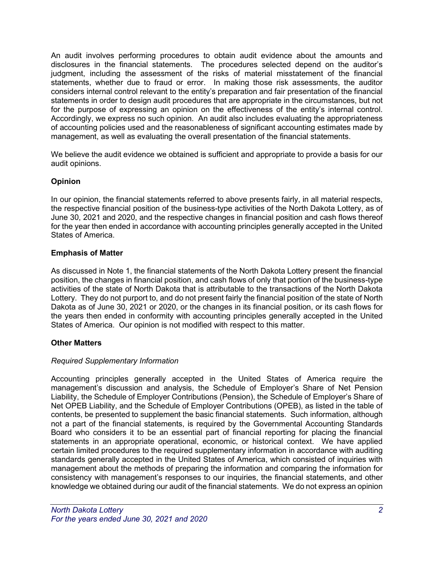An audit involves performing procedures to obtain audit evidence about the amounts and disclosures in the financial statements. The procedures selected depend on the auditor's judgment, including the assessment of the risks of material misstatement of the financial statements, whether due to fraud or error. In making those risk assessments, the auditor considers internal control relevant to the entity's preparation and fair presentation of the financial statements in order to design audit procedures that are appropriate in the circumstances, but not for the purpose of expressing an opinion on the effectiveness of the entity's internal control. Accordingly, we express no such opinion. An audit also includes evaluating the appropriateness of accounting policies used and the reasonableness of significant accounting estimates made by management, as well as evaluating the overall presentation of the financial statements.

We believe the audit evidence we obtained is sufficient and appropriate to provide a basis for our audit opinions.

## **Opinion**

In our opinion, the financial statements referred to above presents fairly, in all material respects, the respective financial position of the business-type activities of the North Dakota Lottery, as of June 30, 2021 and 2020, and the respective changes in financial position and cash flows thereof for the year then ended in accordance with accounting principles generally accepted in the United States of America.

## **Emphasis of Matter**

As discussed in Note 1, the financial statements of the North Dakota Lottery present the financial position, the changes in financial position, and cash flows of only that portion of the business-type activities of the state of North Dakota that is attributable to the transactions of the North Dakota Lottery. They do not purport to, and do not present fairly the financial position of the state of North Dakota as of June 30, 2021 or 2020, or the changes in its financial position, or its cash flows for the years then ended in conformity with accounting principles generally accepted in the United States of America. Our opinion is not modified with respect to this matter.

## **Other Matters**

## *Required Supplementary Information*

Accounting principles generally accepted in the United States of America require the management's discussion and analysis, the Schedule of Employer's Share of Net Pension Liability, the Schedule of Employer Contributions (Pension), the Schedule of Employer's Share of Net OPEB Liability, and the Schedule of Employer Contributions (OPEB), as listed in the table of contents, be presented to supplement the basic financial statements. Such information, although not a part of the financial statements, is required by the Governmental Accounting Standards Board who considers it to be an essential part of financial reporting for placing the financial statements in an appropriate operational, economic, or historical context. We have applied certain limited procedures to the required supplementary information in accordance with auditing standards generally accepted in the United States of America, which consisted of inquiries with management about the methods of preparing the information and comparing the information for consistency with management's responses to our inquiries, the financial statements, and other knowledge we obtained during our audit of the financial statements. We do not express an opinion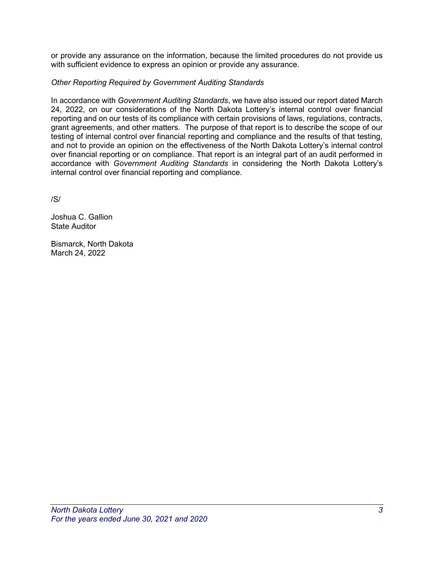or provide any assurance on the information, because the limited procedures do not provide us with sufficient evidence to express an opinion or provide any assurance.

## *Other Reporting Required by Government Auditing Standards*

In accordance with *Government Auditing Standards*, we have also issued our report dated March 24, 2022, on our considerations of the North Dakota Lottery's internal control over financial reporting and on our tests of its compliance with certain provisions of laws, regulations, contracts, grant agreements, and other matters. The purpose of that report is to describe the scope of our testing of internal control over financial reporting and compliance and the results of that testing, and not to provide an opinion on the effectiveness of the North Dakota Lottery's internal control over financial reporting or on compliance. That report is an integral part of an audit performed in accordance with *Government Auditing Standards* in considering the North Dakota Lottery's internal control over financial reporting and compliance.

/S/

Joshua C. Gallion State Auditor

Bismarck, North Dakota March 24, 2022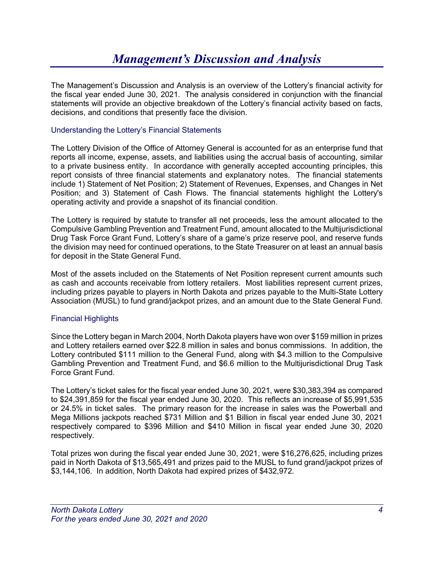The Management's Discussion and Analysis is an overview of the Lottery's financial activity for the fiscal year ended June 30, 2021. The analysis considered in conjunction with the financial statements will provide an objective breakdown of the Lottery's financial activity based on facts, decisions, and conditions that presently face the division.

#### Understanding the Lottery's Financial Statements

The Lottery Division of the Office of Attorney General is accounted for as an enterprise fund that reports all income, expense, assets, and liabilities using the accrual basis of accounting, similar to a private business entity. In accordance with generally accepted accounting principles, this report consists of three financial statements and explanatory notes. The financial statements include 1) Statement of Net Position; 2) Statement of Revenues, Expenses, and Changes in Net Position; and 3) Statement of Cash Flows. The financial statements highlight the Lottery's operating activity and provide a snapshot of its financial condition.

The Lottery is required by statute to transfer all net proceeds, less the amount allocated to the Compulsive Gambling Prevention and Treatment Fund, amount allocated to the Multijurisdictional Drug Task Force Grant Fund, Lottery's share of a game's prize reserve pool, and reserve funds the division may need for continued operations, to the State Treasurer on at least an annual basis for deposit in the State General Fund.

Most of the assets included on the Statements of Net Position represent current amounts such as cash and accounts receivable from lottery retailers. Most liabilities represent current prizes, including prizes payable to players in North Dakota and prizes payable to the Multi-State Lottery Association (MUSL) to fund grand/jackpot prizes, and an amount due to the State General Fund.

## Financial Highlights

Since the Lottery began in March 2004, North Dakota players have won over \$159 million in prizes and Lottery retailers earned over \$22.8 million in sales and bonus commissions. In addition, the Lottery contributed \$111 million to the General Fund, along with \$4.3 million to the Compulsive Gambling Prevention and Treatment Fund, and \$6.6 million to the Multijurisdictional Drug Task Force Grant Fund.

The Lottery's ticket sales for the fiscal year ended June 30, 2021, were \$30,383,394 as compared to \$24,391,859 for the fiscal year ended June 30, 2020. This reflects an increase of \$5,991,535 or 24.5% in ticket sales. The primary reason for the increase in sales was the Powerball and Mega Millions jackpots reached \$731 Million and \$1 Billion in fiscal year ended June 30, 2021 respectively compared to \$396 Million and \$410 Million in fiscal year ended June 30, 2020 respectively.

Total prizes won during the fiscal year ended June 30, 2021, were \$16,276,625, including prizes paid in North Dakota of \$13,565,491 and prizes paid to the MUSL to fund grand/jackpot prizes of \$3,144,106. In addition, North Dakota had expired prizes of \$432,972.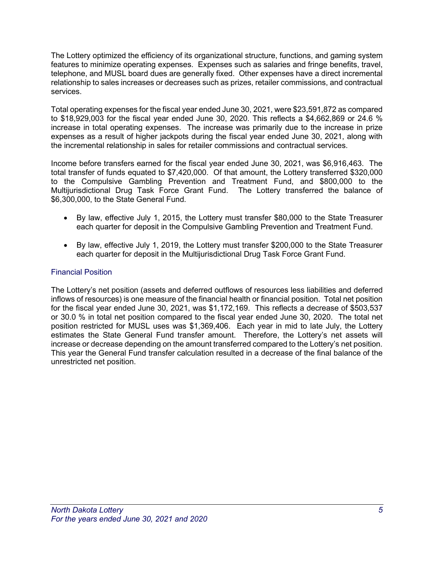The Lottery optimized the efficiency of its organizational structure, functions, and gaming system features to minimize operating expenses. Expenses such as salaries and fringe benefits, travel, telephone, and MUSL board dues are generally fixed. Other expenses have a direct incremental relationship to sales increases or decreases such as prizes, retailer commissions, and contractual services.

Total operating expenses for the fiscal year ended June 30, 2021, were \$23,591,872 as compared to \$18,929,003 for the fiscal year ended June 30, 2020. This reflects a \$4,662,869 or 24.6 % increase in total operating expenses. The increase was primarily due to the increase in prize expenses as a result of higher jackpots during the fiscal year ended June 30, 2021, along with the incremental relationship in sales for retailer commissions and contractual services.

Income before transfers earned for the fiscal year ended June 30, 2021, was \$6,916,463. The total transfer of funds equated to \$7,420,000. Of that amount, the Lottery transferred \$320,000 to the Compulsive Gambling Prevention and Treatment Fund, and \$800,000 to the Multijurisdictional Drug Task Force Grant Fund. The Lottery transferred the balance of \$6,300,000, to the State General Fund.

- By law, effective July 1, 2015, the Lottery must transfer \$80,000 to the State Treasurer each quarter for deposit in the Compulsive Gambling Prevention and Treatment Fund.
- By law, effective July 1, 2019, the Lottery must transfer \$200,000 to the State Treasurer each quarter for deposit in the Multijurisdictional Drug Task Force Grant Fund.

## Financial Position

The Lottery's net position (assets and deferred outflows of resources less liabilities and deferred inflows of resources) is one measure of the financial health or financial position. Total net position for the fiscal year ended June 30, 2021, was \$1,172,169. This reflects a decrease of \$503,537 or 30.0 % in total net position compared to the fiscal year ended June 30, 2020. The total net position restricted for MUSL uses was \$1,369,406. Each year in mid to late July, the Lottery estimates the State General Fund transfer amount. Therefore, the Lottery's net assets will increase or decrease depending on the amount transferred compared to the Lottery's net position. This year the General Fund transfer calculation resulted in a decrease of the final balance of the unrestricted net position.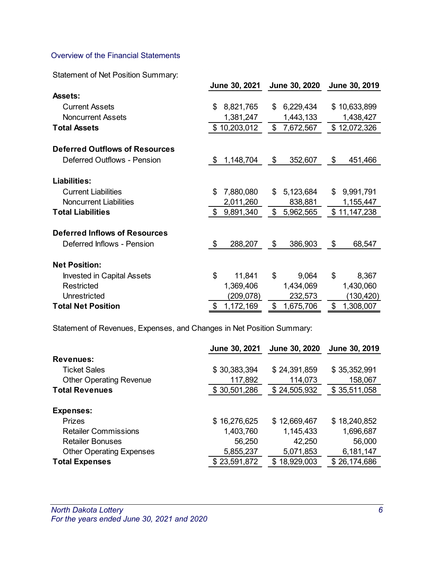## Overview of the Financial Statements

Statement of Net Position Summary:

|                                       | <b>June 30, 2021</b>        | June 30, 2020               | June 30, 2019   |
|---------------------------------------|-----------------------------|-----------------------------|-----------------|
| <b>Assets:</b>                        |                             |                             |                 |
| <b>Current Assets</b>                 | \$<br>8,821,765             | \$<br>6,229,434             | \$10,633,899    |
| <b>Noncurrent Assets</b>              | 1,381,247                   | 1,443,133                   | 1,438,427       |
| <b>Total Assets</b>                   | \$10,203,012                | \$<br>7,672,567             | \$12,072,326    |
| <b>Deferred Outflows of Resources</b> |                             |                             |                 |
| Deferred Outflows - Pension           | $\mathfrak{S}$<br>1,148,704 | \$<br>352,607               | \$<br>451,466   |
| <b>Liabilities:</b>                   |                             |                             |                 |
| <b>Current Liabilities</b>            | \$<br>7,880,080             | \$<br>5,123,684             | 9,991,791<br>\$ |
| <b>Noncurrent Liabilities</b>         | 2,011,260                   | 838,881                     | 1,155,447       |
| <b>Total Liabilities</b>              | $\mathfrak{L}$<br>9,891,340 | $\mathfrak{L}$<br>5,962,565 | \$11,147,238    |
| <b>Deferred Inflows of Resources</b>  |                             |                             |                 |
| Deferred Inflows - Pension            | \$<br>288,207               | \$<br>386,903               | \$<br>68,547    |
| <b>Net Position:</b>                  |                             |                             |                 |
| <b>Invested in Capital Assets</b>     | \$<br>11,841                | \$<br>9,064                 | \$<br>8,367     |
| <b>Restricted</b>                     | 1,369,406                   | 1,434,069                   | 1,430,060       |
| Unrestricted                          | (209,078)                   | 232,573                     | (130,420)       |
| <b>Total Net Position</b>             | \$<br>1,172,169             | \$<br>1,675,706             | \$<br>1,308,007 |

Statement of Revenues, Expenses, and Changes in Net Position Summary:

|                                 | June 30, 2021 | June 30, 2020 | June 30, 2019 |
|---------------------------------|---------------|---------------|---------------|
| Revenues:                       |               |               |               |
| <b>Ticket Sales</b>             | \$30,383,394  | \$24,391,859  | \$35,352,991  |
| <b>Other Operating Revenue</b>  | 117,892       | 114,073       | 158,067       |
| <b>Total Revenues</b>           | \$30,501,286  | \$24,505,932  | \$35,511,058  |
|                                 |               |               |               |
| <b>Expenses:</b>                |               |               |               |
| <b>Prizes</b>                   | \$16,276,625  | \$12,669,467  | \$18,240,852  |
| <b>Retailer Commissions</b>     | 1,403,760     | 1,145,433     | 1,696,687     |
| <b>Retailer Bonuses</b>         | 56,250        | 42,250        | 56,000        |
| <b>Other Operating Expenses</b> | 5,855,237     | 5,071,853     | 6,181,147     |
| <b>Total Expenses</b>           | \$23,591,872  | \$18,929,003  | \$26,174,686  |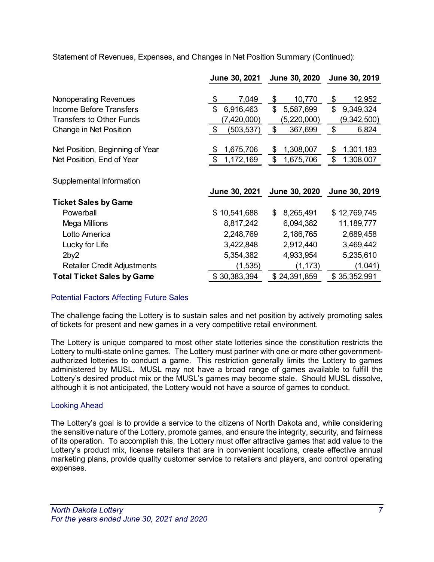Statement of Revenues, Expenses, and Changes in Net Position Summary (Continued):

|                                    | June 30, 2021<br>June 30, 2020 |                 | June 30, 2019               |  |
|------------------------------------|--------------------------------|-----------------|-----------------------------|--|
|                                    |                                |                 |                             |  |
| Nonoperating Revenues              | 7,049<br>\$                    | 10,770<br>\$    | \$<br>12,952                |  |
| <b>Income Before Transfers</b>     | \$<br>6,916,463                | \$<br>5,587,699 | $\mathfrak{L}$<br>9,349,324 |  |
| <b>Transfers to Other Funds</b>    | (7,420,000)                    | (5,220,000)     | (9,342,500)                 |  |
| Change in Net Position             | (503, 537)<br>\$               | 367,699<br>\$   | \$<br>6,824                 |  |
|                                    |                                |                 |                             |  |
| Net Position, Beginning of Year    | 1,675,706<br>\$                | 1,308,007<br>\$ | 1,301,183<br>\$             |  |
| Net Position, End of Year          | 1,172,169<br>\$                | \$<br>1,675,706 | 1,308,007<br>\$             |  |
|                                    |                                |                 |                             |  |
|                                    |                                |                 |                             |  |
| Supplemental Information           |                                |                 |                             |  |
|                                    | June 30, 2021                  | June 30, 2020   | June 30, 2019               |  |
| <b>Ticket Sales by Game</b>        |                                |                 |                             |  |
| Powerball                          | \$10,541,688                   | \$<br>8,265,491 | \$12,769,745                |  |
| Mega Millions                      | 8,817,242                      | 6,094,382       | 11,189,777                  |  |
| Lotto America                      | 2,248,769                      | 2,186,765       | 2,689,458                   |  |
| Lucky for Life                     | 3,422,848                      | 2,912,440       | 3,469,442                   |  |
| 2by2                               | 5,354,382                      | 4,933,954       | 5,235,610                   |  |
| <b>Retailer Credit Adjustments</b> | (1,535)                        | (1, 173)        | (1,041)                     |  |

## Potential Factors Affecting Future Sales

The challenge facing the Lottery is to sustain sales and net position by actively promoting sales of tickets for present and new games in a very competitive retail environment.

The Lottery is unique compared to most other state lotteries since the constitution restricts the Lottery to multi-state online games. The Lottery must partner with one or more other governmentauthorized lotteries to conduct a game. This restriction generally limits the Lottery to games administered by MUSL. MUSL may not have a broad range of games available to fulfill the Lottery's desired product mix or the MUSL's games may become stale. Should MUSL dissolve, although it is not anticipated, the Lottery would not have a source of games to conduct.

## Looking Ahead

The Lottery's goal is to provide a service to the citizens of North Dakota and, while considering the sensitive nature of the Lottery, promote games, and ensure the integrity, security, and fairness of its operation. To accomplish this, the Lottery must offer attractive games that add value to the Lottery's product mix, license retailers that are in convenient locations, create effective annual marketing plans, provide quality customer service to retailers and players, and control operating expenses.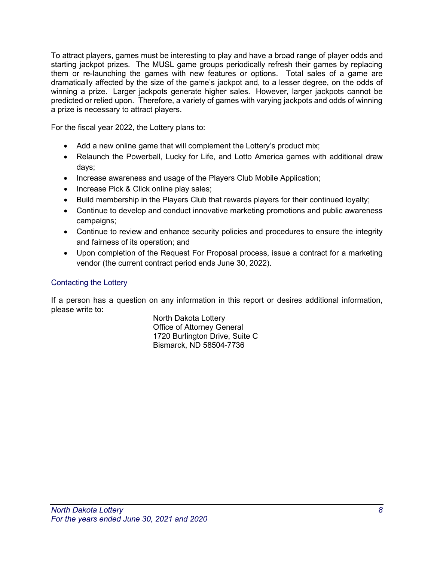To attract players, games must be interesting to play and have a broad range of player odds and starting jackpot prizes. The MUSL game groups periodically refresh their games by replacing them or re-launching the games with new features or options. Total sales of a game are dramatically affected by the size of the game's jackpot and, to a lesser degree, on the odds of winning a prize. Larger jackpots generate higher sales. However, larger jackpots cannot be predicted or relied upon. Therefore, a variety of games with varying jackpots and odds of winning a prize is necessary to attract players.

For the fiscal year 2022, the Lottery plans to:

- Add a new online game that will complement the Lottery's product mix;
- Relaunch the Powerball, Lucky for Life, and Lotto America games with additional draw days;
- Increase awareness and usage of the Players Club Mobile Application;
- Increase Pick & Click online play sales;
- Build membership in the Players Club that rewards players for their continued loyalty;
- Continue to develop and conduct innovative marketing promotions and public awareness campaigns;
- Continue to review and enhance security policies and procedures to ensure the integrity and fairness of its operation; and
- Upon completion of the Request For Proposal process, issue a contract for a marketing vendor (the current contract period ends June 30, 2022).

## Contacting the Lottery

If a person has a question on any information in this report or desires additional information, please write to:

North Dakota Lottery Office of Attorney General 1720 Burlington Drive, Suite C Bismarck, ND 58504-7736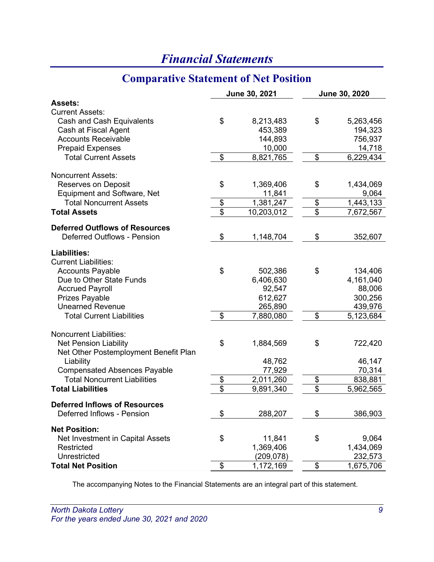# *Financial Statements*

# **Comparative Statement of Net Position**

|                                                                    | June 30, 2021           |            | June 30, 2020                        |           |
|--------------------------------------------------------------------|-------------------------|------------|--------------------------------------|-----------|
| <b>Assets:</b>                                                     |                         |            |                                      |           |
| <b>Current Assets:</b>                                             |                         |            |                                      |           |
| Cash and Cash Equivalents                                          | \$                      | 8,213,483  | \$                                   | 5,263,456 |
| Cash at Fiscal Agent                                               |                         | 453,389    |                                      | 194,323   |
| <b>Accounts Receivable</b>                                         |                         | 144,893    |                                      | 756,937   |
| <b>Prepaid Expenses</b>                                            |                         | 10,000     |                                      | 14,718    |
| <b>Total Current Assets</b>                                        | \$                      | 8,821,765  | \$                                   | 6,229,434 |
| <b>Noncurrent Assets:</b>                                          |                         |            |                                      |           |
| <b>Reserves on Deposit</b>                                         | \$                      | 1,369,406  | \$                                   | 1,434,069 |
| <b>Equipment and Software, Net</b>                                 |                         | 11,841     |                                      | 9,064     |
| <b>Total Noncurrent Assets</b>                                     | \$                      | 1,381,247  | \$                                   | 1,443,133 |
| <b>Total Assets</b>                                                | $\overline{\mathbb{S}}$ | 10,203,012 | $\overline{\boldsymbol{\mathsf{S}}}$ | 7,672,567 |
| <b>Deferred Outflows of Resources</b>                              |                         |            |                                      |           |
| <b>Deferred Outflows - Pension</b>                                 | \$                      | 1,148,704  | \$                                   | 352,607   |
| <b>Liabilities:</b>                                                |                         |            |                                      |           |
| <b>Current Liabilities:</b>                                        |                         |            |                                      |           |
| <b>Accounts Payable</b>                                            | \$                      | 502,386    | \$                                   | 134,406   |
| Due to Other State Funds                                           |                         | 6,406,630  |                                      | 4,161,040 |
| <b>Accrued Payroll</b>                                             |                         | 92,547     |                                      | 88,006    |
| <b>Prizes Payable</b>                                              |                         | 612,627    |                                      | 300,256   |
| <b>Unearned Revenue</b>                                            |                         | 265,890    |                                      | 439,976   |
| <b>Total Current Liabilities</b>                                   | \$                      | 7,880,080  | \$                                   | 5,123,684 |
| <b>Noncurrent Liabilities:</b>                                     |                         |            |                                      |           |
| <b>Net Pension Liability</b>                                       | \$                      | 1,884,569  | \$                                   | 722,420   |
| Net Other Postemployment Benefit Plan<br>Liability                 |                         | 48,762     |                                      | 46,147    |
| <b>Compensated Absences Payable</b>                                |                         | 77,929     |                                      | 70,314    |
| <b>Total Noncurrent Liabilities</b>                                | \$                      | 2,011,260  | \$                                   | 838,881   |
| <b>Total Liabilities</b>                                           | \$                      | 9,891,340  | \$                                   | 5,962,565 |
|                                                                    |                         |            |                                      |           |
| <b>Deferred Inflows of Resources</b><br>Deferred Inflows - Pension | \$                      | 288,207    | \$                                   | 386,903   |
|                                                                    |                         |            |                                      |           |
| <b>Net Position:</b><br>Net Investment in Capital Assets           | \$                      | 11,841     | \$                                   | 9,064     |
| Restricted                                                         |                         | 1,369,406  |                                      | 1,434,069 |
| Unrestricted                                                       |                         | (209,078)  |                                      | 232,573   |
| <b>Total Net Position</b>                                          | \$                      | 1,172,169  | \$                                   | 1,675,706 |

The accompanying Notes to the Financial Statements are an integral part of this statement.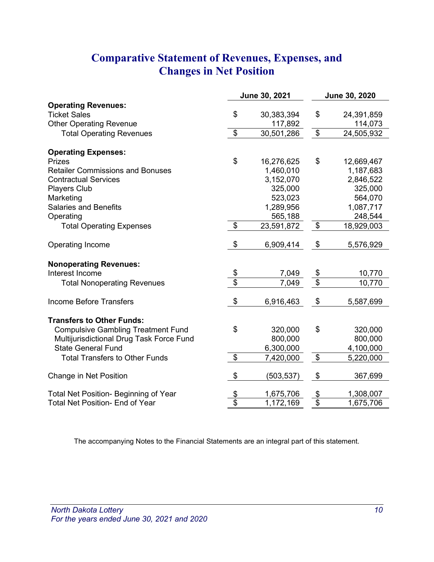## **Comparative Statement of Revenues, Expenses, and Changes in Net Position**

|                                           | June 30, 2021   |            | June 30, 2020                             |            |  |
|-------------------------------------------|-----------------|------------|-------------------------------------------|------------|--|
| <b>Operating Revenues:</b>                |                 |            |                                           |            |  |
| <b>Ticket Sales</b>                       | \$              | 30,383,394 | \$                                        | 24,391,859 |  |
| <b>Other Operating Revenue</b>            |                 | 117,892    |                                           | 114,073    |  |
| <b>Total Operating Revenues</b>           | \$              | 30,501,286 | \$                                        | 24,505,932 |  |
| <b>Operating Expenses:</b>                |                 |            |                                           |            |  |
| <b>Prizes</b>                             | \$              | 16,276,625 | \$                                        | 12,669,467 |  |
| <b>Retailer Commissions and Bonuses</b>   |                 | 1,460,010  |                                           | 1,187,683  |  |
| <b>Contractual Services</b>               |                 | 3,152,070  |                                           | 2,846,522  |  |
| <b>Players Club</b>                       |                 | 325,000    |                                           | 325,000    |  |
| Marketing                                 |                 | 523,023    |                                           | 564,070    |  |
| <b>Salaries and Benefits</b>              |                 | 1,289,956  |                                           | 1,087,717  |  |
| Operating                                 |                 | 565,188    |                                           | 248,544    |  |
| <b>Total Operating Expenses</b>           | \$              | 23,591,872 | $\, \, \raisebox{12pt}{$\scriptstyle \$}$ | 18,929,003 |  |
|                                           |                 |            |                                           |            |  |
| Operating Income                          | \$              | 6,909,414  | \$                                        | 5,576,929  |  |
| <b>Nonoperating Revenues:</b>             |                 |            |                                           |            |  |
| Interest Income                           | \$              | 7,049      | \$                                        | 10,770     |  |
| <b>Total Nonoperating Revenues</b>        | $\overline{\$}$ | 7,049      | $\overline{\$}$                           | 10,770     |  |
|                                           |                 |            |                                           |            |  |
| <b>Income Before Transfers</b>            | \$              | 6,916,463  | \$                                        | 5,587,699  |  |
|                                           |                 |            |                                           |            |  |
| <b>Transfers to Other Funds:</b>          |                 |            |                                           |            |  |
| <b>Compulsive Gambling Treatment Fund</b> | \$              | 320,000    | \$                                        | 320,000    |  |
| Multijurisdictional Drug Task Force Fund  |                 | 800,000    |                                           | 800,000    |  |
| <b>State General Fund</b>                 |                 | 6,300,000  |                                           | 4,100,000  |  |
| <b>Total Transfers to Other Funds</b>     | \$              | 7,420,000  | \$                                        | 5,220,000  |  |
| Change in Net Position                    | \$              | (503, 537) | \$                                        | 367,699    |  |
|                                           |                 |            |                                           |            |  |
| Total Net Position- Beginning of Year     | \$              | 1,675,706  | \$                                        | 1,308,007  |  |
| <b>Total Net Position- End of Year</b>    | $\overline{\$}$ | 1,172,169  | $\overline{\$}$                           | 1,675,706  |  |

The accompanying Notes to the Financial Statements are an integral part of this statement.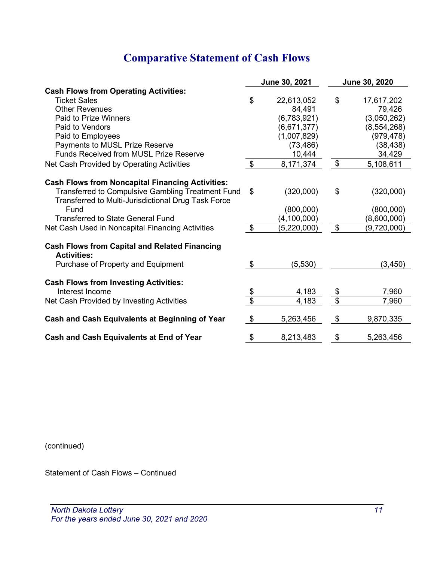# **Comparative Statement of Cash Flows**

|                                                                                                                 |                            | June 30, 2021<br>June 30, 2020 |                            |               |
|-----------------------------------------------------------------------------------------------------------------|----------------------------|--------------------------------|----------------------------|---------------|
| <b>Cash Flows from Operating Activities:</b>                                                                    |                            |                                |                            |               |
| <b>Ticket Sales</b>                                                                                             | \$                         | 22,613,052                     | \$                         | 17,617,202    |
| <b>Other Revenues</b>                                                                                           |                            | 84,491                         |                            | 79,426        |
| <b>Paid to Prize Winners</b>                                                                                    |                            | (6,783,921)                    |                            | (3,050,262)   |
| Paid to Vendors                                                                                                 |                            | (6,671,377)                    |                            | (8, 554, 268) |
| Paid to Employees                                                                                               |                            | (1,007,829)                    |                            | (979, 478)    |
| <b>Payments to MUSL Prize Reserve</b>                                                                           |                            | (73, 486)                      |                            | (38, 438)     |
| <b>Funds Received from MUSL Prize Reserve</b>                                                                   |                            | 10,444                         |                            | 34,429        |
| Net Cash Provided by Operating Activities                                                                       | $\frac{1}{2}$              | 8,171,374                      | $\boldsymbol{\mathsf{\$}}$ | 5,108,611     |
| <b>Cash Flows from Noncapital Financing Activities:</b>                                                         |                            |                                |                            |               |
| <b>Transferred to Compulsive Gambling Treatment Fund</b><br>Transferred to Multi-Jurisdictional Drug Task Force | \$                         | (320,000)                      | \$                         | (320,000)     |
| Fund                                                                                                            |                            | (800,000)                      |                            | (800,000)     |
| <b>Transferred to State General Fund</b>                                                                        |                            | (4, 100, 000)                  |                            | (8,600,000)   |
| Net Cash Used in Noncapital Financing Activities                                                                | $\sqrt[6]{3}$              | (5, 220, 000)                  | $\boldsymbol{\mathsf{S}}$  | (9,720,000)   |
| <b>Cash Flows from Capital and Related Financing</b><br><b>Activities:</b>                                      |                            |                                |                            |               |
| Purchase of Property and Equipment                                                                              | $\boldsymbol{\mathsf{\$}}$ | (5, 530)                       |                            | (3, 450)      |
| <b>Cash Flows from Investing Activities:</b>                                                                    |                            |                                |                            |               |
| Interest Income                                                                                                 |                            | 4,183                          | $\frac{1}{2}$              | 7,960         |
| Net Cash Provided by Investing Activities                                                                       | $\frac{6}{3}$              | 4,183                          | \$                         | 7,960         |
| Cash and Cash Equivalents at Beginning of Year                                                                  | $\boldsymbol{\mathcal{F}}$ | 5,263,456                      | \$                         | 9,870,335     |
| <b>Cash and Cash Equivalents at End of Year</b>                                                                 | \$                         | 8,213,483                      | \$                         | 5,263,456     |

(continued)

Statement of Cash Flows – Continued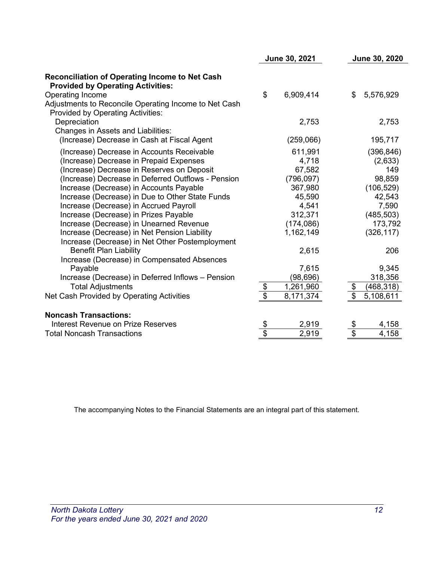|                                                                                                                                                                                                                                                                                                                                                                                                                                                                                                                                                           | June 30, 2021                                                                                                         | June 30, 2020                                                                                                         |
|-----------------------------------------------------------------------------------------------------------------------------------------------------------------------------------------------------------------------------------------------------------------------------------------------------------------------------------------------------------------------------------------------------------------------------------------------------------------------------------------------------------------------------------------------------------|-----------------------------------------------------------------------------------------------------------------------|-----------------------------------------------------------------------------------------------------------------------|
| <b>Reconciliation of Operating Income to Net Cash</b><br><b>Provided by Operating Activities:</b><br>Operating Income<br>Adjustments to Reconcile Operating Income to Net Cash                                                                                                                                                                                                                                                                                                                                                                            | \$<br>6,909,414                                                                                                       | 5,576,929<br>\$                                                                                                       |
| <b>Provided by Operating Activities:</b><br>Depreciation                                                                                                                                                                                                                                                                                                                                                                                                                                                                                                  | 2,753                                                                                                                 | 2,753                                                                                                                 |
| Changes in Assets and Liabilities:<br>(Increase) Decrease in Cash at Fiscal Agent                                                                                                                                                                                                                                                                                                                                                                                                                                                                         | (259,066)                                                                                                             | 195,717                                                                                                               |
| (Increase) Decrease in Accounts Receivable<br>(Increase) Decrease in Prepaid Expenses<br>(Increase) Decrease in Reserves on Deposit<br>(Increase) Decrease in Deferred Outflows - Pension<br>Increase (Decrease) in Accounts Payable<br>Increase (Decrease) in Due to Other State Funds<br>Increase (Decrease) in Accrued Payroll<br>Increase (Decrease) in Prizes Payable<br>Increase (Decrease) in Unearned Revenue<br>Increase (Decrease) in Net Pension Liability<br>Increase (Decrease) in Net Other Postemployment<br><b>Benefit Plan Liability</b> | 611,991<br>4,718<br>67,582<br>(796, 097)<br>367,980<br>45,590<br>4,541<br>312,371<br>(174, 086)<br>1,162,149<br>2,615 | (396, 846)<br>(2,633)<br>149<br>98,859<br>(106, 529)<br>42,543<br>7,590<br>(485, 503)<br>173,792<br>(326, 117)<br>206 |
| Increase (Decrease) in Compensated Absences<br>Payable                                                                                                                                                                                                                                                                                                                                                                                                                                                                                                    | 7,615                                                                                                                 | 9,345                                                                                                                 |
| Increase (Decrease) in Deferred Inflows - Pension<br><b>Total Adjustments</b>                                                                                                                                                                                                                                                                                                                                                                                                                                                                             | (98, 696)<br>1,261,960                                                                                                | 318,356<br>$\overline{\Phi}$<br>(468, 318)                                                                            |
| Net Cash Provided by Operating Activities                                                                                                                                                                                                                                                                                                                                                                                                                                                                                                                 | $\frac{6}{3}$<br>8,171,374                                                                                            | $\overline{\mathfrak{s}}$<br>5,108,611                                                                                |
| <b>Noncash Transactions:</b><br>Interest Revenue on Prize Reserves<br><b>Total Noncash Transactions</b>                                                                                                                                                                                                                                                                                                                                                                                                                                                   | \$<br>2,919<br>\$<br>2,919                                                                                            | \$<br>4,158<br>$\overline{\$}$<br>4,158                                                                               |

The accompanying Notes to the Financial Statements are an integral part of this statement.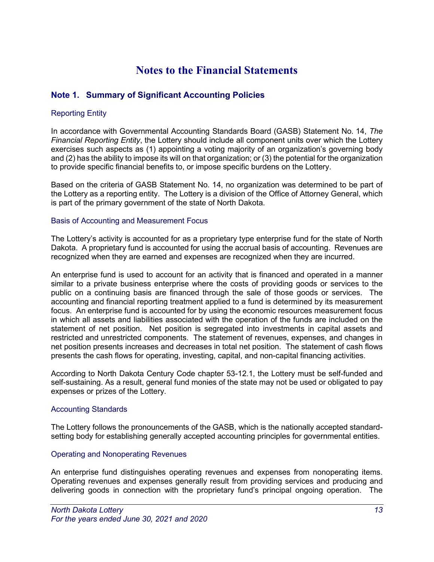## **Notes to the Financial Statements**

## **Note 1. Summary of Significant Accounting Policies**

## Reporting Entity

In accordance with Governmental Accounting Standards Board (GASB) Statement No. 14, *The Financial Reporting Entity*, the Lottery should include all component units over which the Lottery exercises such aspects as (1) appointing a voting majority of an organization's governing body and (2) has the ability to impose its will on that organization; or (3) the potential for the organization to provide specific financial benefits to, or impose specific burdens on the Lottery.

Based on the criteria of GASB Statement No. 14, no organization was determined to be part of the Lottery as a reporting entity. The Lottery is a division of the Office of Attorney General, which is part of the primary government of the state of North Dakota.

## Basis of Accounting and Measurement Focus

The Lottery's activity is accounted for as a proprietary type enterprise fund for the state of North Dakota. A proprietary fund is accounted for using the accrual basis of accounting. Revenues are recognized when they are earned and expenses are recognized when they are incurred.

An enterprise fund is used to account for an activity that is financed and operated in a manner similar to a private business enterprise where the costs of providing goods or services to the public on a continuing basis are financed through the sale of those goods or services. The accounting and financial reporting treatment applied to a fund is determined by its measurement focus. An enterprise fund is accounted for by using the economic resources measurement focus in which all assets and liabilities associated with the operation of the funds are included on the statement of net position. Net position is segregated into investments in capital assets and restricted and unrestricted components. The statement of revenues, expenses, and changes in net position presents increases and decreases in total net position. The statement of cash flows presents the cash flows for operating, investing, capital, and non-capital financing activities.

According to North Dakota Century Code chapter 53-12.1, the Lottery must be self-funded and self-sustaining. As a result, general fund monies of the state may not be used or obligated to pay expenses or prizes of the Lottery.

## Accounting Standards

The Lottery follows the pronouncements of the GASB, which is the nationally accepted standardsetting body for establishing generally accepted accounting principles for governmental entities.

## Operating and Nonoperating Revenues

An enterprise fund distinguishes operating revenues and expenses from nonoperating items. Operating revenues and expenses generally result from providing services and producing and delivering goods in connection with the proprietary fund's principal ongoing operation. The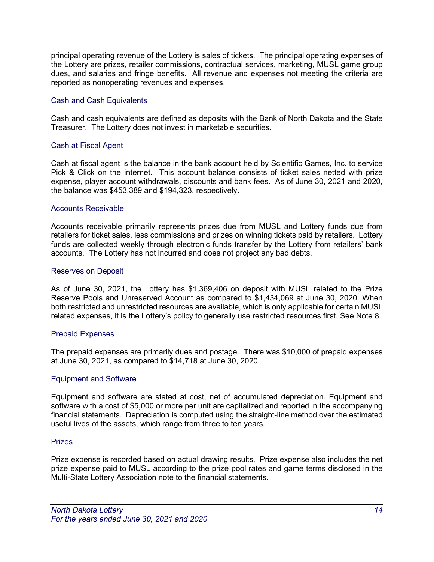principal operating revenue of the Lottery is sales of tickets. The principal operating expenses of the Lottery are prizes, retailer commissions, contractual services, marketing, MUSL game group dues, and salaries and fringe benefits. All revenue and expenses not meeting the criteria are reported as nonoperating revenues and expenses.

#### Cash and Cash Equivalents

Cash and cash equivalents are defined as deposits with the Bank of North Dakota and the State Treasurer. The Lottery does not invest in marketable securities.

#### Cash at Fiscal Agent

Cash at fiscal agent is the balance in the bank account held by Scientific Games, Inc. to service Pick & Click on the internet. This account balance consists of ticket sales netted with prize expense, player account withdrawals, discounts and bank fees. As of June 30, 2021 and 2020, the balance was \$453,389 and \$194,323, respectively.

#### Accounts Receivable

Accounts receivable primarily represents prizes due from MUSL and Lottery funds due from retailers for ticket sales, less commissions and prizes on winning tickets paid by retailers. Lottery funds are collected weekly through electronic funds transfer by the Lottery from retailers' bank accounts. The Lottery has not incurred and does not project any bad debts.

#### Reserves on Deposit

As of June 30, 2021, the Lottery has \$1,369,406 on deposit with MUSL related to the Prize Reserve Pools and Unreserved Account as compared to \$1,434,069 at June 30, 2020. When both restricted and unrestricted resources are available, which is only applicable for certain MUSL related expenses, it is the Lottery's policy to generally use restricted resources first. See Note 8.

#### Prepaid Expenses

The prepaid expenses are primarily dues and postage. There was \$10,000 of prepaid expenses at June 30, 2021, as compared to \$14,718 at June 30, 2020.

#### Equipment and Software

Equipment and software are stated at cost, net of accumulated depreciation. Equipment and software with a cost of \$5,000 or more per unit are capitalized and reported in the accompanying financial statements. Depreciation is computed using the straight-line method over the estimated useful lives of the assets, which range from three to ten years.

#### Prizes

Prize expense is recorded based on actual drawing results. Prize expense also includes the net prize expense paid to MUSL according to the prize pool rates and game terms disclosed in the Multi-State Lottery Association note to the financial statements.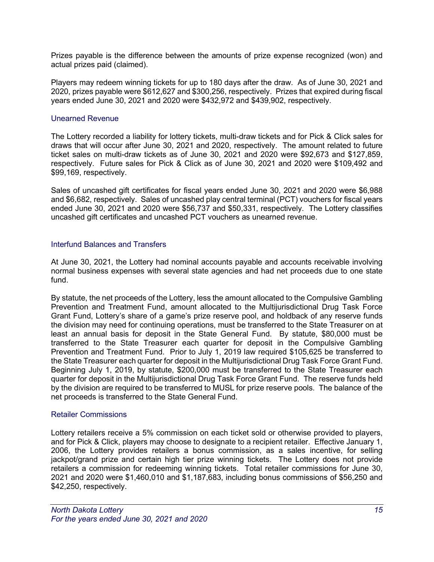Prizes payable is the difference between the amounts of prize expense recognized (won) and actual prizes paid (claimed).

Players may redeem winning tickets for up to 180 days after the draw. As of June 30, 2021 and 2020, prizes payable were \$612,627 and \$300,256, respectively. Prizes that expired during fiscal years ended June 30, 2021 and 2020 were \$432,972 and \$439,902, respectively.

#### Unearned Revenue

The Lottery recorded a liability for lottery tickets, multi-draw tickets and for Pick & Click sales for draws that will occur after June 30, 2021 and 2020, respectively. The amount related to future ticket sales on multi-draw tickets as of June 30, 2021 and 2020 were \$92,673 and \$127,859, respectively. Future sales for Pick & Click as of June 30, 2021 and 2020 were \$109,492 and \$99,169, respectively.

Sales of uncashed gift certificates for fiscal years ended June 30, 2021 and 2020 were \$6,988 and \$6,682, respectively. Sales of uncashed play central terminal (PCT) vouchers for fiscal years ended June 30, 2021 and 2020 were \$56,737 and \$50,331, respectively. The Lottery classifies uncashed gift certificates and uncashed PCT vouchers as unearned revenue.

## Interfund Balances and Transfers

At June 30, 2021, the Lottery had nominal accounts payable and accounts receivable involving normal business expenses with several state agencies and had net proceeds due to one state fund.

By statute, the net proceeds of the Lottery, less the amount allocated to the Compulsive Gambling Prevention and Treatment Fund, amount allocated to the Multijurisdictional Drug Task Force Grant Fund, Lottery's share of a game's prize reserve pool, and holdback of any reserve funds the division may need for continuing operations, must be transferred to the State Treasurer on at least an annual basis for deposit in the State General Fund. By statute, \$80,000 must be transferred to the State Treasurer each quarter for deposit in the Compulsive Gambling Prevention and Treatment Fund. Prior to July 1, 2019 law required \$105,625 be transferred to the State Treasurer each quarter for deposit in the Multijurisdictional Drug Task Force Grant Fund. Beginning July 1, 2019, by statute, \$200,000 must be transferred to the State Treasurer each quarter for deposit in the Multijurisdictional Drug Task Force Grant Fund. The reserve funds held by the division are required to be transferred to MUSL for prize reserve pools. The balance of the net proceeds is transferred to the State General Fund.

#### Retailer Commissions

Lottery retailers receive a 5% commission on each ticket sold or otherwise provided to players, and for Pick & Click, players may choose to designate to a recipient retailer. Effective January 1, 2006, the Lottery provides retailers a bonus commission, as a sales incentive, for selling jackpot/grand prize and certain high tier prize winning tickets. The Lottery does not provide retailers a commission for redeeming winning tickets. Total retailer commissions for June 30, 2021 and 2020 were \$1,460,010 and \$1,187,683, including bonus commissions of \$56,250 and \$42,250, respectively.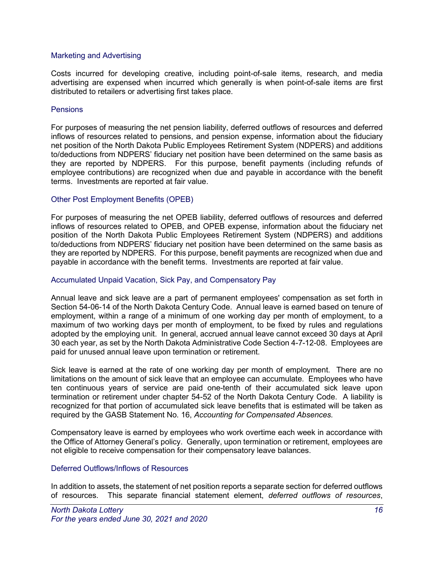#### Marketing and Advertising

Costs incurred for developing creative, including point-of-sale items, research, and media advertising are expensed when incurred which generally is when point-of-sale items are first distributed to retailers or advertising first takes place.

#### **Pensions**

For purposes of measuring the net pension liability, deferred outflows of resources and deferred inflows of resources related to pensions, and pension expense, information about the fiduciary net position of the North Dakota Public Employees Retirement System (NDPERS) and additions to/deductions from NDPERS' fiduciary net position have been determined on the same basis as they are reported by NDPERS. For this purpose, benefit payments (including refunds of employee contributions) are recognized when due and payable in accordance with the benefit terms. Investments are reported at fair value.

#### Other Post Employment Benefits (OPEB)

For purposes of measuring the net OPEB liability, deferred outflows of resources and deferred inflows of resources related to OPEB, and OPEB expense, information about the fiduciary net position of the North Dakota Public Employees Retirement System (NDPERS) and additions to/deductions from NDPERS' fiduciary net position have been determined on the same basis as they are reported by NDPERS. For this purpose, benefit payments are recognized when due and payable in accordance with the benefit terms. Investments are reported at fair value.

#### Accumulated Unpaid Vacation, Sick Pay, and Compensatory Pay

Annual leave and sick leave are a part of permanent employees' compensation as set forth in Section 54-06-14 of the North Dakota Century Code. Annual leave is earned based on tenure of employment, within a range of a minimum of one working day per month of employment, to a maximum of two working days per month of employment, to be fixed by rules and regulations adopted by the employing unit. In general, accrued annual leave cannot exceed 30 days at April 30 each year, as set by the North Dakota Administrative Code Section 4-7-12-08. Employees are paid for unused annual leave upon termination or retirement.

Sick leave is earned at the rate of one working day per month of employment. There are no limitations on the amount of sick leave that an employee can accumulate. Employees who have ten continuous years of service are paid one-tenth of their accumulated sick leave upon termination or retirement under chapter 54-52 of the North Dakota Century Code. A liability is recognized for that portion of accumulated sick leave benefits that is estimated will be taken as required by the GASB Statement No. 16, *Accounting for Compensated Absences.*

Compensatory leave is earned by employees who work overtime each week in accordance with the Office of Attorney General's policy. Generally, upon termination or retirement, employees are not eligible to receive compensation for their compensatory leave balances.

#### Deferred Outflows/Inflows of Resources

In addition to assets, the statement of net position reports a separate section for deferred outflows of resources. This separate financial statement element, *deferred outflows of resources*,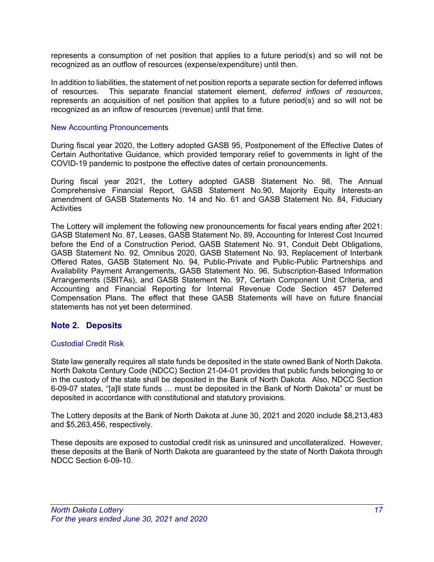represents a consumption of net position that applies to a future period(s) and so will not be recognized as an outflow of resources (expense/expenditure) until then.

In addition to liabilities, the statement of net position reports a separate section for deferred inflows of resources. This separate financial statement element, *deferred inflows of resources*, represents an acquisition of net position that applies to a future period(s) and so will not be recognized as an inflow of resources (revenue) until that time.

#### New Accounting Pronouncements

During fiscal year 2020, the Lottery adopted GASB 95, Postponement of the Effective Dates of Certain Authoritative Guidance, which provided temporary relief to governments in light of the COVID-19 pandemic to postpone the effective dates of certain pronouncements.

During fiscal year 2021, the Lottery adopted GASB Statement No. 98, The Annual Comprehensive Financial Report, GASB Statement No.90, Majority Equity Interests-an amendment of GASB Statements No. 14 and No. 61 and GASB Statement No. 84, Fiduciary **Activities** 

The Lottery will implement the following new pronouncements for fiscal years ending after 2021: GASB Statement No. 87, Leases, GASB Statement No. 89, Accounting for Interest Cost Incurred before the End of a Construction Period, GASB Statement No. 91, Conduit Debt Obligations, GASB Statement No. 92, Omnibus 2020, GASB Statement No. 93, Replacement of Interbank Offered Rates, GASB Statement No. 94, Public-Private and Public-Public Partnerships and Availability Payment Arrangements, GASB Statement No. 96, Subscription-Based Information Arrangements (SBITAs), and GASB Statement No. 97, Certain Component Unit Criteria, and Accounting and Financial Reporting for Internal Revenue Code Section 457 Deferred Compensation Plans. The effect that these GASB Statements will have on future financial statements has not yet been determined.

## **Note 2. Deposits**

## Custodial Credit Risk

State law generally requires all state funds be deposited in the state owned Bank of North Dakota. North Dakota Century Code (NDCC) Section 21-04-01 provides that public funds belonging to or in the custody of the state shall be deposited in the Bank of North Dakota. Also, NDCC Section 6-09-07 states, "[a]ll state funds … must be deposited in the Bank of North Dakota" or must be deposited in accordance with constitutional and statutory provisions.

The Lottery deposits at the Bank of North Dakota at June 30, 2021 and 2020 include \$8,213,483 and \$5,263,456, respectively.

These deposits are exposed to custodial credit risk as uninsured and uncollateralized. However, these deposits at the Bank of North Dakota are guaranteed by the state of North Dakota through NDCC Section 6-09-10.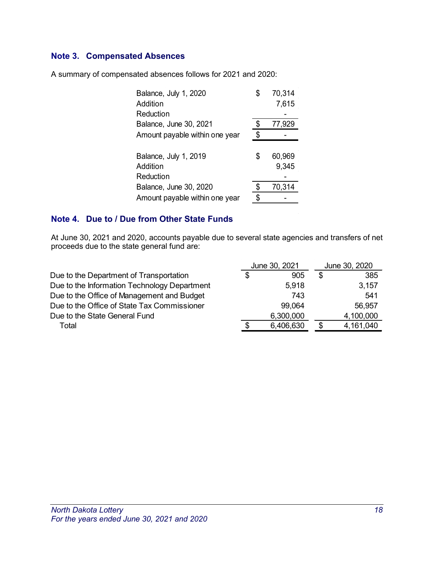## **Note 3. Compensated Absences**

A summary of compensated absences follows for 2021 and 2020:

| Balance, July 1, 2020          |    | 70,314 |
|--------------------------------|----|--------|
| Addition                       |    | 7,615  |
| Reduction                      |    |        |
| Balance, June 30, 2021         |    | 77,929 |
| Amount payable within one year |    |        |
|                                |    |        |
| Balance, July 1, 2019          | S  | 60,969 |
| Addition                       |    | 9,345  |
| Reduction                      |    |        |
| Balance, June 30, 2020         |    | 70,314 |
| Amount payable within one year | \$ |        |

## **Note 4. Due to / Due from Other State Funds**

At June 30, 2021 and 2020, accounts payable due to several state agencies and transfers of net proceeds due to the state general fund are:

|                                              | June 30, 2021 |           |   | June 30, 2020 |  |  |       |
|----------------------------------------------|---------------|-----------|---|---------------|--|--|-------|
| Due to the Department of Transportation      | \$            | 905       | S | 385           |  |  |       |
| Due to the Information Technology Department | 5,918         |           |   |               |  |  | 3,157 |
| Due to the Office of Management and Budget   | 743           |           |   | 541           |  |  |       |
| Due to the Office of State Tax Commissioner  | 99,064        |           |   | 56,957        |  |  |       |
| Due to the State General Fund                |               | 6,300,000 |   | 4,100,000     |  |  |       |
| Total                                        |               | 6,406,630 |   | 4,161,040     |  |  |       |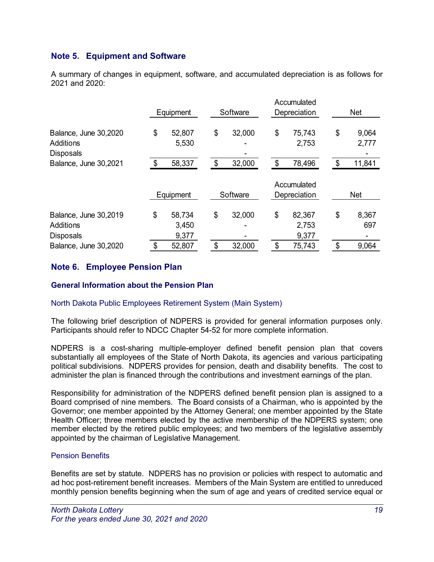## **Note 5. Equipment and Software**

A summary of changes in equipment, software, and accumulated depreciation is as follows for 2021 and 2020:

|                                           |                       |    |          |    | Accumulated                 |      |                |  |            |
|-------------------------------------------|-----------------------|----|----------|----|-----------------------------|------|----------------|--|------------|
|                                           | Equipment             |    | Software |    |                             |      | Depreciation   |  | <b>Net</b> |
| Balance, June 30,2020<br><b>Additions</b> | \$<br>52,807<br>5,530 | \$ | 32,000   | \$ | 75,743<br>2,753             | \$   | 9,064<br>2,777 |  |            |
| <b>Disposals</b>                          |                       |    |          |    |                             |      |                |  |            |
| Balance, June 30,2021                     | \$<br>58,337          | \$ | 32,000   | \$ | 78,496                      | - \$ | 11,841         |  |            |
|                                           | Equipment             |    | Software |    | Accumulated<br>Depreciation |      | <b>Net</b>     |  |            |
|                                           |                       |    |          |    |                             |      |                |  |            |
| Balance, June 30,2019<br><b>Additions</b> | \$<br>58,734<br>3,450 | \$ | 32,000   | \$ | 82,367<br>2,753             | \$   | 8,367<br>697   |  |            |
| <b>Disposals</b>                          | 9,377                 |    |          |    | 9,377                       |      |                |  |            |
| Balance, June 30,2020                     | \$<br>52,807          |    | 32,000   | \$ | 75,743                      |      | 9,064          |  |            |

## **Note 6. Employee Pension Plan**

## **General Information about the Pension Plan**

## North Dakota Public Employees Retirement System (Main System)

The following brief description of NDPERS is provided for general information purposes only. Participants should refer to NDCC Chapter 54-52 for more complete information.

NDPERS is a cost-sharing multiple-employer defined benefit pension plan that covers substantially all employees of the State of North Dakota, its agencies and various participating political subdivisions. NDPERS provides for pension, death and disability benefits. The cost to administer the plan is financed through the contributions and investment earnings of the plan.

Responsibility for administration of the NDPERS defined benefit pension plan is assigned to a Board comprised of nine members. The Board consists of a Chairman, who is appointed by the Governor; one member appointed by the Attorney General; one member appointed by the State Health Officer; three members elected by the active membership of the NDPERS system; one member elected by the retired public employees; and two members of the legislative assembly appointed by the chairman of Legislative Management.

## Pension Benefits

Benefits are set by statute. NDPERS has no provision or policies with respect to automatic and ad hoc post-retirement benefit increases. Members of the Main System are entitled to unreduced monthly pension benefits beginning when the sum of age and years of credited service equal or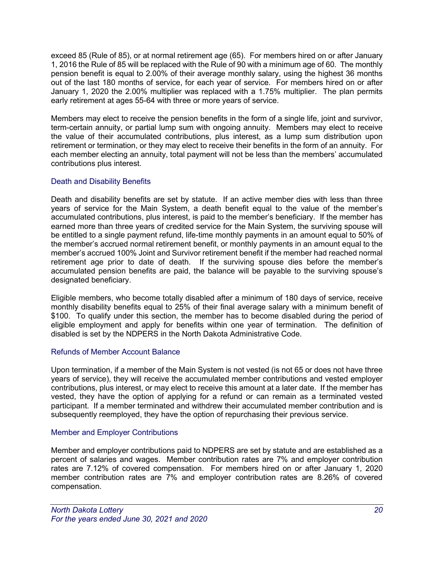exceed 85 (Rule of 85), or at normal retirement age (65). For members hired on or after January 1, 2016 the Rule of 85 will be replaced with the Rule of 90 with a minimum age of 60. The monthly pension benefit is equal to 2.00% of their average monthly salary, using the highest 36 months out of the last 180 months of service, for each year of service. For members hired on or after January 1, 2020 the 2.00% multiplier was replaced with a 1.75% multiplier. The plan permits early retirement at ages 55-64 with three or more years of service.

Members may elect to receive the pension benefits in the form of a single life, joint and survivor, term-certain annuity, or partial lump sum with ongoing annuity. Members may elect to receive the value of their accumulated contributions, plus interest, as a lump sum distribution upon retirement or termination, or they may elect to receive their benefits in the form of an annuity. For each member electing an annuity, total payment will not be less than the members' accumulated contributions plus interest.

## Death and Disability Benefits

Death and disability benefits are set by statute. If an active member dies with less than three years of service for the Main System, a death benefit equal to the value of the member's accumulated contributions, plus interest, is paid to the member's beneficiary. If the member has earned more than three years of credited service for the Main System, the surviving spouse will be entitled to a single payment refund, life-time monthly payments in an amount equal to 50% of the member's accrued normal retirement benefit, or monthly payments in an amount equal to the member's accrued 100% Joint and Survivor retirement benefit if the member had reached normal retirement age prior to date of death. If the surviving spouse dies before the member's accumulated pension benefits are paid, the balance will be payable to the surviving spouse's designated beneficiary.

Eligible members, who become totally disabled after a minimum of 180 days of service, receive monthly disability benefits equal to 25% of their final average salary with a minimum benefit of \$100. To qualify under this section, the member has to become disabled during the period of eligible employment and apply for benefits within one year of termination. The definition of disabled is set by the NDPERS in the North Dakota Administrative Code.

## Refunds of Member Account Balance

Upon termination, if a member of the Main System is not vested (is not 65 or does not have three years of service), they will receive the accumulated member contributions and vested employer contributions, plus interest, or may elect to receive this amount at a later date. If the member has vested, they have the option of applying for a refund or can remain as a terminated vested participant. If a member terminated and withdrew their accumulated member contribution and is subsequently reemployed, they have the option of repurchasing their previous service.

## Member and Employer Contributions

Member and employer contributions paid to NDPERS are set by statute and are established as a percent of salaries and wages. Member contribution rates are 7% and employer contribution rates are 7.12% of covered compensation. For members hired on or after January 1, 2020 member contribution rates are 7% and employer contribution rates are 8.26% of covered compensation.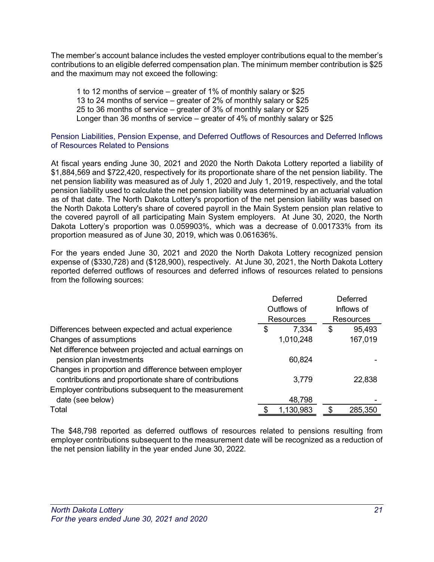The member's account balance includes the vested employer contributions equal to the member's contributions to an eligible deferred compensation plan. The minimum member contribution is \$25 and the maximum may not exceed the following:

1 to 12 months of service – greater of 1% of monthly salary or \$25 13 to 24 months of service – greater of 2% of monthly salary or \$25 25 to 36 months of service – greater of 3% of monthly salary or \$25 Longer than 36 months of service – greater of 4% of monthly salary or \$25

#### Pension Liabilities, Pension Expense, and Deferred Outflows of Resources and Deferred Inflows of Resources Related to Pensions

At fiscal years ending June 30, 2021 and 2020 the North Dakota Lottery reported a liability of \$1,884,569 and \$722,420, respectively for its proportionate share of the net pension liability. The net pension liability was measured as of July 1, 2020 and July 1, 2019, respectively, and the total pension liability used to calculate the net pension liability was determined by an actuarial valuation as of that date. The North Dakota Lottery's proportion of the net pension liability was based on the North Dakota Lottery's share of covered payroll in the Main System pension plan relative to the covered payroll of all participating Main System employers. At June 30, 2020, the North Dakota Lottery's proportion was 0.059903%, which was a decrease of 0.001733% from its proportion measured as of June 30, 2019, which was 0.061636%.

For the years ended June 30, 2021 and 2020 the North Dakota Lottery recognized pension expense of (\$330,728) and (\$128,900), respectively. At June 30, 2021, the North Dakota Lottery reported deferred outflows of resources and deferred inflows of resources related to pensions from the following sources:

|                                                         | Deferred<br>Outflows of |           | Deferred<br>Inflows of<br><b>Resources</b><br><b>Resources</b> |         |  |
|---------------------------------------------------------|-------------------------|-----------|----------------------------------------------------------------|---------|--|
| Differences between expected and actual experience      | \$                      | 7,334     | \$                                                             | 95,493  |  |
| Changes of assumptions                                  |                         | 1,010,248 |                                                                | 167,019 |  |
| Net difference between projected and actual earnings on |                         |           |                                                                |         |  |
| pension plan investments                                |                         | 60,824    |                                                                |         |  |
| Changes in proportion and difference between employer   |                         |           |                                                                |         |  |
| contributions and proportionate share of contributions  |                         | 3,779     |                                                                | 22,838  |  |
| Employer contributions subsequent to the measurement    |                         |           |                                                                |         |  |
| date (see below)                                        |                         | 48,798    |                                                                |         |  |
| Total                                                   |                         | 1,130,983 |                                                                | 285,350 |  |

The \$48,798 reported as deferred outflows of resources related to pensions resulting from employer contributions subsequent to the measurement date will be recognized as a reduction of the net pension liability in the year ended June 30, 2022.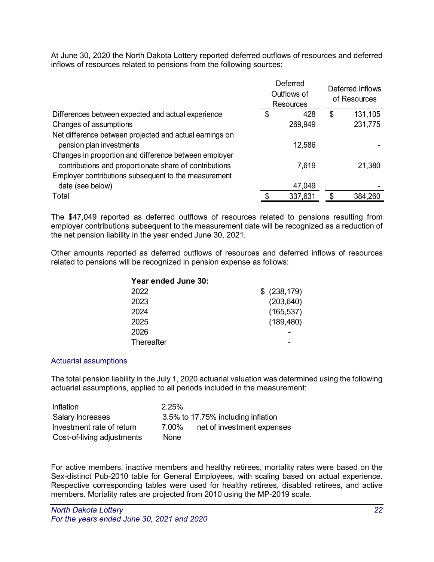At June 30, 2020 the North Dakota Lottery reported deferred outflows of resources and deferred inflows of resources related to pensions from the following sources:

|                                                         | Deferred<br>Outflows of<br>Resources |         | Deferred Inflows<br>of Resources |         |
|---------------------------------------------------------|--------------------------------------|---------|----------------------------------|---------|
| Differences between expected and actual experience      | \$                                   | 428     | \$                               | 131,105 |
| Changes of assumptions                                  |                                      | 269,949 |                                  | 231,775 |
| Net difference between projected and actual earnings on |                                      |         |                                  |         |
| pension plan investments                                |                                      | 12,586  |                                  |         |
| Changes in proportion and difference between employer   |                                      |         |                                  |         |
| contributions and proportionate share of contributions  |                                      | 7,619   |                                  | 21,380  |
| Employer contributions subsequent to the measurement    |                                      |         |                                  |         |
| date (see below)                                        |                                      | 47,049  |                                  |         |
| Total                                                   |                                      | 337,631 |                                  | 384,260 |

The \$47,049 reported as deferred outflows of resources related to pensions resulting from employer contributions subsequent to the measurement date will be recognized as a reduction of the net pension liability in the year ended June 30, 2021.

Other amounts reported as deferred outflows of resources and deferred inflows of resources related to pensions will be recognized in pension expense as follows:

| Year ended June 30: |               |
|---------------------|---------------|
| 2022                | $$$ (238,179) |
| 2023                | (203, 640)    |
| 2024                | (165, 537)    |
| 2025                | (189, 480)    |
| 2026                |               |
| Thereafter          |               |

## Actuarial assumptions

The total pension liability in the July 1, 2020 actuarial valuation was determined using the following actuarial assumptions, applied to all periods included in the measurement:

| <b>Inflation</b>           | 2.25%       |                                    |
|----------------------------|-------------|------------------------------------|
| <b>Salary Increases</b>    |             | 3.5% to 17.75% including inflation |
| Investment rate of return  | 7.00%       | net of investment expenses         |
| Cost-of-living adjustments | <b>None</b> |                                    |

For active members, inactive members and healthy retirees, mortality rates were based on the Sex-distinct Pub-2010 table for General Employees, with scaling based on actual experience. Respective corresponding tables were used for healthy retirees, disabled retirees, and active members. Mortality rates are projected from 2010 using the MP-2019 scale.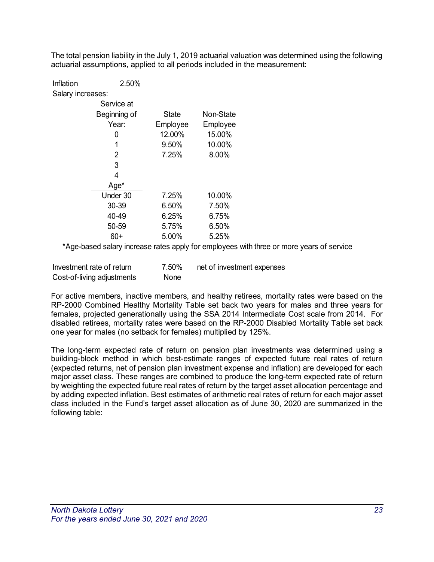The total pension liability in the July 1, 2019 actuarial valuation was determined using the following actuarial assumptions, applied to all periods included in the measurement:

| Inflation         | 2.50%      |
|-------------------|------------|
| Salary increases: |            |
|                   | Service at |

| טטו יוטט מנ  |          |           |
|--------------|----------|-----------|
| Beginning of | State    | Non-State |
| Year:        | Employee | Employee  |
| 0            | 12.00%   | 15.00%    |
|              | 9.50%    | 10.00%    |
| 2            | 7.25%    | 8.00%     |
| 3            |          |           |
| 4            |          |           |
| Age*         |          |           |
| Under 30     | 7.25%    | 10.00%    |
| 30-39        | 6.50%    | 7.50%     |
| 40-49        | 6.25%    | 6.75%     |
| 50-59        | 5.75%    | 6.50%     |
| 60+          | 5.00%    | 5.25%     |

\*Age-based salary increase rates apply for employees with three or more years of service

| Investment rate of return  | 7.50% | net of investment expenses |
|----------------------------|-------|----------------------------|
| Cost-of-living adjustments | None  |                            |

For active members, inactive members, and healthy retirees, mortality rates were based on the RP-2000 Combined Healthy Mortality Table set back two years for males and three years for females, projected generationally using the SSA 2014 Intermediate Cost scale from 2014. For disabled retirees, mortality rates were based on the RP-2000 Disabled Mortality Table set back one year for males (no setback for females) multiplied by 125%.

The long-term expected rate of return on pension plan investments was determined using a building-block method in which best-estimate ranges of expected future real rates of return (expected returns, net of pension plan investment expense and inflation) are developed for each major asset class. These ranges are combined to produce the long-term expected rate of return by weighting the expected future real rates of return by the target asset allocation percentage and by adding expected inflation. Best estimates of arithmetic real rates of return for each major asset class included in the Fund's target asset allocation as of June 30, 2020 are summarized in the following table: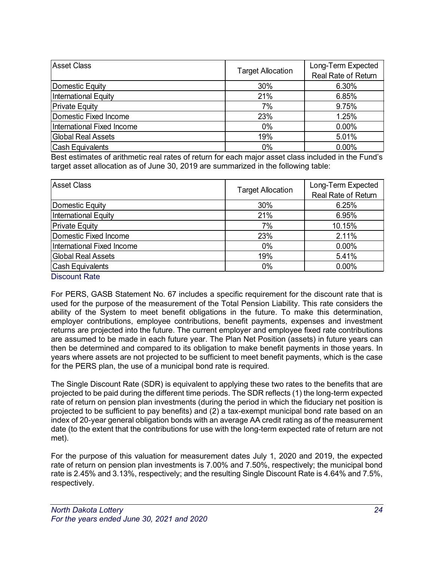| Asset Class                | <b>Target Allocation</b> | Long-Term Expected<br>Real Rate of Return |
|----------------------------|--------------------------|-------------------------------------------|
| Domestic Equity            | 30%                      | 6.30%                                     |
| International Equity       | 21%                      | 6.85%                                     |
| <b>Private Equity</b>      | 7%                       | 9.75%                                     |
| Domestic Fixed Income      | 23%                      | 1.25%                                     |
| International Fixed Income | 0%                       | $0.00\%$                                  |
| Global Real Assets         | 19%                      | 5.01%                                     |
| Cash Equivalents           | 0%                       | 0.00%                                     |

Best estimates of arithmetic real rates of return for each major asset class included in the Fund's target asset allocation as of June 30, 2019 are summarized in the following table:

| Asset Class                |                          | Long-Term Expected         |  |  |  |
|----------------------------|--------------------------|----------------------------|--|--|--|
|                            | <b>Target Allocation</b> | <b>Real Rate of Return</b> |  |  |  |
| Domestic Equity            | 30%                      | 6.25%                      |  |  |  |
| International Equity       | 21%                      | 6.95%                      |  |  |  |
| <b>Private Equity</b>      | 7%                       | 10.15%                     |  |  |  |
| Domestic Fixed Income      | 23%                      | 2.11%                      |  |  |  |
| International Fixed Income | 0%                       | $0.00\%$                   |  |  |  |
| Global Real Assets         | 19%                      | 5.41%                      |  |  |  |
| <b>Cash Equivalents</b>    | $0\%$                    | $0.00\%$                   |  |  |  |
| Discount Rate              |                          |                            |  |  |  |

For PERS, GASB Statement No. 67 includes a specific requirement for the discount rate that is used for the purpose of the measurement of the Total Pension Liability. This rate considers the ability of the System to meet benefit obligations in the future. To make this determination, employer contributions, employee contributions, benefit payments, expenses and investment returns are projected into the future. The current employer and employee fixed rate contributions are assumed to be made in each future year. The Plan Net Position (assets) in future years can then be determined and compared to its obligation to make benefit payments in those years. In years where assets are not projected to be sufficient to meet benefit payments, which is the case for the PERS plan, the use of a municipal bond rate is required.

The Single Discount Rate (SDR) is equivalent to applying these two rates to the benefits that are projected to be paid during the different time periods. The SDR reflects (1) the long-term expected rate of return on pension plan investments (during the period in which the fiduciary net position is projected to be sufficient to pay benefits) and (2) a tax-exempt municipal bond rate based on an index of 20-year general obligation bonds with an average AA credit rating as of the measurement date (to the extent that the contributions for use with the long-term expected rate of return are not met).

For the purpose of this valuation for measurement dates July 1, 2020 and 2019, the expected rate of return on pension plan investments is 7.00% and 7.50%, respectively; the municipal bond rate is 2.45% and 3.13%, respectively; and the resulting Single Discount Rate is 4.64% and 7.5%, respectively.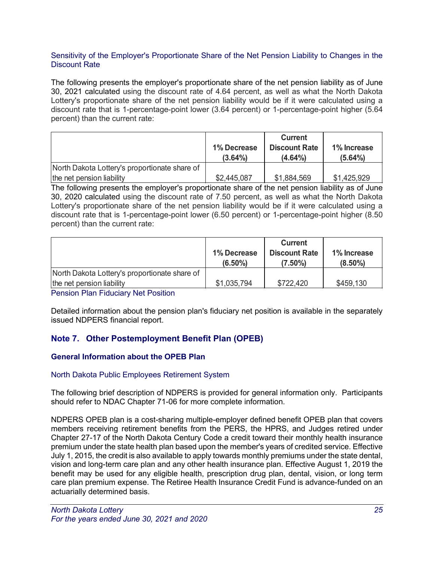## Sensitivity of the Employer's Proportionate Share of the Net Pension Liability to Changes in the Discount Rate

The following presents the employer's proportionate share of the net pension liability as of June 30, 2021 calculated using the discount rate of 4.64 percent, as well as what the North Dakota Lottery's proportionate share of the net pension liability would be if it were calculated using a discount rate that is 1-percentage-point lower (3.64 percent) or 1-percentage-point higher (5.64 percent) than the current rate:

|                                               | 1% Decrease<br>$(3.64\%)$ | Current<br><b>Discount Rate</b><br>$(4.64\%)$ | 1% Increase<br>$(5.64\%)$ |
|-----------------------------------------------|---------------------------|-----------------------------------------------|---------------------------|
| North Dakota Lottery's proportionate share of |                           |                                               |                           |
| the net pension liability                     | \$2,445,087               | \$1,884,569                                   | \$1,425,929               |

The following presents the employer's proportionate share of the net pension liability as of June 30, 2020 calculated using the discount rate of 7.50 percent, as well as what the North Dakota Lottery's proportionate share of the net pension liability would be if it were calculated using a discount rate that is 1-percentage-point lower (6.50 percent) or 1-percentage-point higher (8.50 percent) than the current rate:

|                                               | 1% Decrease<br>$(6.50\%)$ | <b>Current</b><br><b>Discount Rate</b><br>$(7.50\%)$ | 1% Increase<br>$(8.50\%)$ |
|-----------------------------------------------|---------------------------|------------------------------------------------------|---------------------------|
| North Dakota Lottery's proportionate share of |                           |                                                      |                           |
| the net pension liability                     | \$1,035,794               | \$722,420                                            | \$459,130                 |

Pension Plan Fiduciary Net Position

Detailed information about the pension plan's fiduciary net position is available in the separately issued NDPERS financial report.

## **Note 7. Other Postemployment Benefit Plan (OPEB)**

## **General Information about the OPEB Plan**

## North Dakota Public Employees Retirement System

The following brief description of NDPERS is provided for general information only. Participants should refer to NDAC Chapter 71-06 for more complete information.

NDPERS OPEB plan is a cost-sharing multiple-employer defined benefit OPEB plan that covers members receiving retirement benefits from the PERS, the HPRS, and Judges retired under Chapter 27-17 of the North Dakota Century Code a credit toward their monthly health insurance premium under the state health plan based upon the member's years of credited service. Effective July 1, 2015, the credit is also available to apply towards monthly premiums under the state dental, vision and long-term care plan and any other health insurance plan. Effective August 1, 2019 the benefit may be used for any eligible health, prescription drug plan, dental, vision, or long term care plan premium expense. The Retiree Health Insurance Credit Fund is advance-funded on an actuarially determined basis.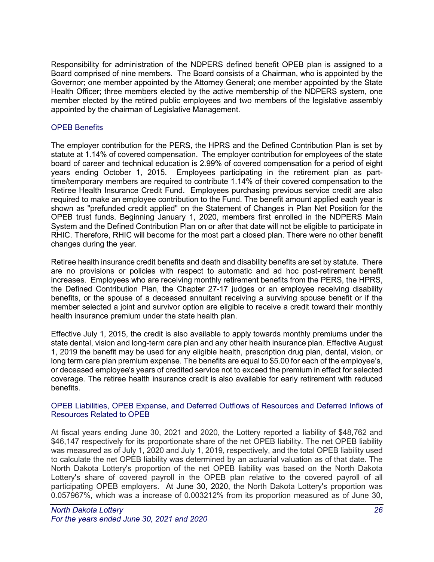Responsibility for administration of the NDPERS defined benefit OPEB plan is assigned to a Board comprised of nine members. The Board consists of a Chairman, who is appointed by the Governor; one member appointed by the Attorney General; one member appointed by the State Health Officer; three members elected by the active membership of the NDPERS system, one member elected by the retired public employees and two members of the legislative assembly appointed by the chairman of Legislative Management.

## OPEB Benefits

The employer contribution for the PERS, the HPRS and the Defined Contribution Plan is set by statute at 1.14% of covered compensation. The employer contribution for employees of the state board of career and technical education is 2.99% of covered compensation for a period of eight years ending October 1, 2015. Employees participating in the retirement plan as parttime/temporary members are required to contribute 1.14% of their covered compensation to the Retiree Health Insurance Credit Fund. Employees purchasing previous service credit are also required to make an employee contribution to the Fund. The benefit amount applied each year is shown as "prefunded credit applied" on the Statement of Changes in Plan Net Position for the OPEB trust funds. Beginning January 1, 2020, members first enrolled in the NDPERS Main System and the Defined Contribution Plan on or after that date will not be eligible to participate in RHIC. Therefore, RHIC will become for the most part a closed plan. There were no other benefit changes during the year.

Retiree health insurance credit benefits and death and disability benefits are set by statute. There are no provisions or policies with respect to automatic and ad hoc post-retirement benefit increases. Employees who are receiving monthly retirement benefits from the PERS, the HPRS, the Defined Contribution Plan, the Chapter 27-17 judges or an employee receiving disability benefits, or the spouse of a deceased annuitant receiving a surviving spouse benefit or if the member selected a joint and survivor option are eligible to receive a credit toward their monthly health insurance premium under the state health plan.

Effective July 1, 2015, the credit is also available to apply towards monthly premiums under the state dental, vision and long-term care plan and any other health insurance plan. Effective August 1, 2019 the benefit may be used for any eligible health, prescription drug plan, dental, vision, or long term care plan premium expense. The benefits are equal to \$5.00 for each of the employee's, or deceased employee's years of credited service not to exceed the premium in effect for selected coverage. The retiree health insurance credit is also available for early retirement with reduced benefits.

#### OPEB Liabilities, OPEB Expense, and Deferred Outflows of Resources and Deferred Inflows of Resources Related to OPEB

At fiscal years ending June 30, 2021 and 2020, the Lottery reported a liability of \$48,762 and \$46,147 respectively for its proportionate share of the net OPEB liability. The net OPEB liability was measured as of July 1, 2020 and July 1, 2019, respectively, and the total OPEB liability used to calculate the net OPEB liability was determined by an actuarial valuation as of that date. The North Dakota Lottery's proportion of the net OPEB liability was based on the North Dakota Lottery's share of covered payroll in the OPEB plan relative to the covered payroll of all participating OPEB employers. At June 30, 2020, the North Dakota Lottery's proportion was 0.057967%, which was a increase of 0.003212% from its proportion measured as of June 30,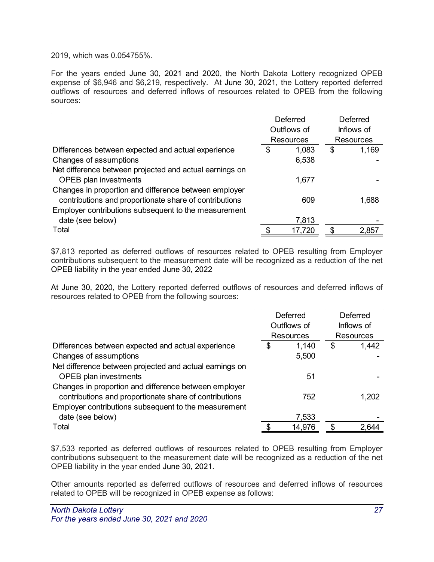2019, which was 0.054755%.

For the years ended June 30, 2021 and 2020, the North Dakota Lottery recognized OPEB expense of \$6,946 and \$6,219, respectively. At June 30, 2021, the Lottery reported deferred outflows of resources and deferred inflows of resources related to OPEB from the following sources:

|                                                         | Deferred    |                  | Deferred   |                  |
|---------------------------------------------------------|-------------|------------------|------------|------------------|
|                                                         | Outflows of |                  | Inflows of |                  |
|                                                         |             | <b>Resources</b> |            | <b>Resources</b> |
| Differences between expected and actual experience      | \$          | 1,083            | \$         | 1,169            |
| Changes of assumptions                                  |             | 6,538            |            |                  |
| Net difference between projected and actual earnings on |             |                  |            |                  |
| <b>OPEB</b> plan investments                            |             | 1,677            |            |                  |
| Changes in proportion and difference between employer   |             |                  |            |                  |
| contributions and proportionate share of contributions  |             | 609              |            | 1,688            |
| Employer contributions subsequent to the measurement    |             |                  |            |                  |
| date (see below)                                        |             | 7,813            |            |                  |
| Total                                                   |             | 17,720           |            | 2,857            |

\$7,813 reported as deferred outflows of resources related to OPEB resulting from Employer contributions subsequent to the measurement date will be recognized as a reduction of the net OPEB liability in the year ended June 30, 2022

At June 30, 2020, the Lottery reported deferred outflows of resources and deferred inflows of resources related to OPEB from the following sources:

|                                                         | Deferred<br>Outflows of<br><b>Resources</b> |        | Deferred<br>Inflows of<br><b>Resources</b> |       |
|---------------------------------------------------------|---------------------------------------------|--------|--------------------------------------------|-------|
| Differences between expected and actual experience      | \$                                          | 1,140  | \$                                         | 1,442 |
| Changes of assumptions                                  |                                             | 5,500  |                                            |       |
| Net difference between projected and actual earnings on |                                             |        |                                            |       |
| <b>OPEB</b> plan investments                            |                                             | 51     |                                            |       |
| Changes in proportion and difference between employer   |                                             |        |                                            |       |
| contributions and proportionate share of contributions  |                                             | 752    |                                            | 1,202 |
| Employer contributions subsequent to the measurement    |                                             |        |                                            |       |
| date (see below)                                        |                                             | 7,533  |                                            |       |
| Total                                                   | c                                           | 14,976 |                                            | 2,644 |

\$7,533 reported as deferred outflows of resources related to OPEB resulting from Employer contributions subsequent to the measurement date will be recognized as a reduction of the net OPEB liability in the year ended June 30, 2021.

Other amounts reported as deferred outflows of resources and deferred inflows of resources related to OPEB will be recognized in OPEB expense as follows: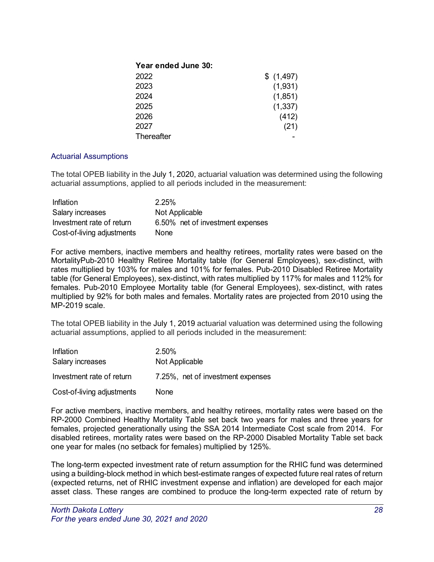|  | Year ended June 30: |  |  |
|--|---------------------|--|--|
|--|---------------------|--|--|

| 2022       | \$(1,497) |
|------------|-----------|
| 2023       | (1,931)   |
| 2024       | (1,851)   |
| 2025       | (1, 337)  |
| 2026       | (412)     |
| 2027       | (21)      |
| Thereafter |           |
|            |           |

#### Actuarial Assumptions

The total OPEB liability in the July 1, 2020, actuarial valuation was determined using the following actuarial assumptions, applied to all periods included in the measurement:

| Inflation                  | 2.25%                            |
|----------------------------|----------------------------------|
| Salary increases           | Not Applicable                   |
| Investment rate of return  | 6.50% net of investment expenses |
| Cost-of-living adjustments | None                             |

For active members, inactive members and healthy retirees, mortality rates were based on the MortalityPub-2010 Healthy Retiree Mortality table (for General Employees), sex-distinct, with rates multiplied by 103% for males and 101% for females. Pub-2010 Disabled Retiree Mortality table (for General Employees), sex-distinct, with rates multiplied by 117% for males and 112% for females. Pub-2010 Employee Mortality table (for General Employees), sex-distinct, with rates multiplied by 92% for both males and females. Mortality rates are projected from 2010 using the MP-2019 scale.

The total OPEB liability in the July 1, 2019 actuarial valuation was determined using the following actuarial assumptions, applied to all periods included in the measurement:

| Inflation                  | 2.50%                             |
|----------------------------|-----------------------------------|
| Salary increases           | Not Applicable                    |
| Investment rate of return  | 7.25%, net of investment expenses |
| Cost-of-living adjustments | None                              |

For active members, inactive members, and healthy retirees, mortality rates were based on the RP-2000 Combined Healthy Mortality Table set back two years for males and three years for females, projected generationally using the SSA 2014 Intermediate Cost scale from 2014. For disabled retirees, mortality rates were based on the RP-2000 Disabled Mortality Table set back one year for males (no setback for females) multiplied by 125%.

The long-term expected investment rate of return assumption for the RHIC fund was determined using a building-block method in which best-estimate ranges of expected future real rates of return (expected returns, net of RHIC investment expense and inflation) are developed for each major asset class. These ranges are combined to produce the long-term expected rate of return by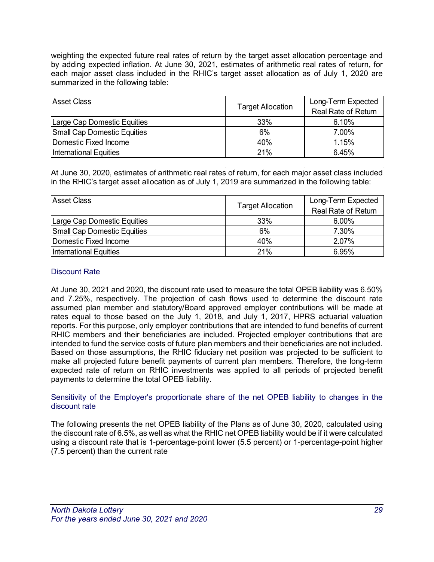weighting the expected future real rates of return by the target asset allocation percentage and by adding expected inflation. At June 30, 2021, estimates of arithmetic real rates of return, for each major asset class included in the RHIC's target asset allocation as of July 1, 2020 are summarized in the following table:

| Asset Class                 | <b>Target Allocation</b> | Long-Term Expected         |  |  |
|-----------------------------|--------------------------|----------------------------|--|--|
|                             |                          | <b>Real Rate of Return</b> |  |  |
| Large Cap Domestic Equities | 33%                      | 6.10%                      |  |  |
| Small Cap Domestic Equities | 6%                       | 7.00%                      |  |  |
| Domestic Fixed Income       | 40%                      | 1.15%                      |  |  |
| International Equities      | 21%                      | 6.45%                      |  |  |

At June 30, 2020, estimates of arithmetic real rates of return, for each major asset class included in the RHIC's target asset allocation as of July 1, 2019 are summarized in the following table:

| Asset Class                 |                          | Long-Term Expected  |  |  |
|-----------------------------|--------------------------|---------------------|--|--|
|                             | <b>Target Allocation</b> | Real Rate of Return |  |  |
| Large Cap Domestic Equities | 33%                      | 6.00%               |  |  |
| Small Cap Domestic Equities | 6%                       | 7.30%               |  |  |
| Domestic Fixed Income       | 40%                      | 2.07%               |  |  |
| International Equities      | 21%                      | 6.95%               |  |  |

## Discount Rate

At June 30, 2021 and 2020, the discount rate used to measure the total OPEB liability was 6.50% and 7.25%, respectively. The projection of cash flows used to determine the discount rate assumed plan member and statutory/Board approved employer contributions will be made at rates equal to those based on the July 1, 2018, and July 1, 2017, HPRS actuarial valuation reports. For this purpose, only employer contributions that are intended to fund benefits of current RHIC members and their beneficiaries are included. Projected employer contributions that are intended to fund the service costs of future plan members and their beneficiaries are not included. Based on those assumptions, the RHIC fiduciary net position was projected to be sufficient to make all projected future benefit payments of current plan members. Therefore, the long-term expected rate of return on RHIC investments was applied to all periods of projected benefit payments to determine the total OPEB liability.

## Sensitivity of the Employer's proportionate share of the net OPEB liability to changes in the discount rate

The following presents the net OPEB liability of the Plans as of June 30, 2020, calculated using the discount rate of 6.5%, as well as what the RHIC net OPEB liability would be if it were calculated using a discount rate that is 1-percentage-point lower (5.5 percent) or 1-percentage-point higher (7.5 percent) than the current rate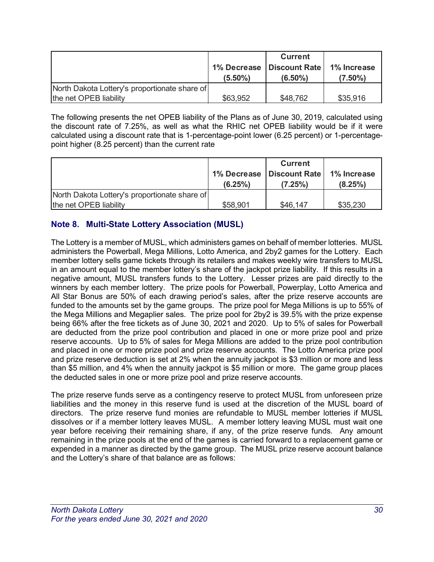|                                               | 1% Decrease<br>$(5.50\%)$ | <b>Current</b><br>Discount Rate<br>$(6.50\%)$ | 1% Increase<br>$(7.50\%)$ |
|-----------------------------------------------|---------------------------|-----------------------------------------------|---------------------------|
| North Dakota Lottery's proportionate share of |                           |                                               |                           |
| the net OPEB liability                        | \$63,952                  | \$48,762                                      | \$35,916                  |

The following presents the net OPEB liability of the Plans as of June 30, 2019, calculated using the discount rate of 7.25%, as well as what the RHIC net OPEB liability would be if it were calculated using a discount rate that is 1-percentage-point lower (6.25 percent) or 1-percentagepoint higher (8.25 percent) than the current rate

|                                               | 1% Decrease<br>(6.25%) | <b>Current</b><br>Discount Rate<br>(7.25%) | 1% Increase<br>(8.25%) |
|-----------------------------------------------|------------------------|--------------------------------------------|------------------------|
| North Dakota Lottery's proportionate share of |                        |                                            |                        |
| the net OPEB liability                        | \$58,901               | \$46.147                                   | \$35,230               |

## **Note 8. Multi-State Lottery Association (MUSL)**

The Lottery is a member of MUSL, which administers games on behalf of member lotteries. MUSL administers the Powerball, Mega Millions, Lotto America, and 2by2 games for the Lottery. Each member lottery sells game tickets through its retailers and makes weekly wire transfers to MUSL in an amount equal to the member lottery's share of the jackpot prize liability. If this results in a negative amount, MUSL transfers funds to the Lottery. Lesser prizes are paid directly to the winners by each member lottery. The prize pools for Powerball, Powerplay, Lotto America and All Star Bonus are 50% of each drawing period's sales, after the prize reserve accounts are funded to the amounts set by the game groups. The prize pool for Mega Millions is up to 55% of the Mega Millions and Megaplier sales. The prize pool for 2by2 is 39.5% with the prize expense being 66% after the free tickets as of June 30, 2021 and 2020. Up to 5% of sales for Powerball are deducted from the prize pool contribution and placed in one or more prize pool and prize reserve accounts. Up to 5% of sales for Mega Millions are added to the prize pool contribution and placed in one or more prize pool and prize reserve accounts. The Lotto America prize pool and prize reserve deduction is set at 2% when the annuity jackpot is \$3 million or more and less than \$5 million, and 4% when the annuity jackpot is \$5 million or more. The game group places the deducted sales in one or more prize pool and prize reserve accounts.

The prize reserve funds serve as a contingency reserve to protect MUSL from unforeseen prize liabilities and the money in this reserve fund is used at the discretion of the MUSL board of directors. The prize reserve fund monies are refundable to MUSL member lotteries if MUSL dissolves or if a member lottery leaves MUSL. A member lottery leaving MUSL must wait one year before receiving their remaining share, if any, of the prize reserve funds. Any amount remaining in the prize pools at the end of the games is carried forward to a replacement game or expended in a manner as directed by the game group. The MUSL prize reserve account balance and the Lottery's share of that balance are as follows: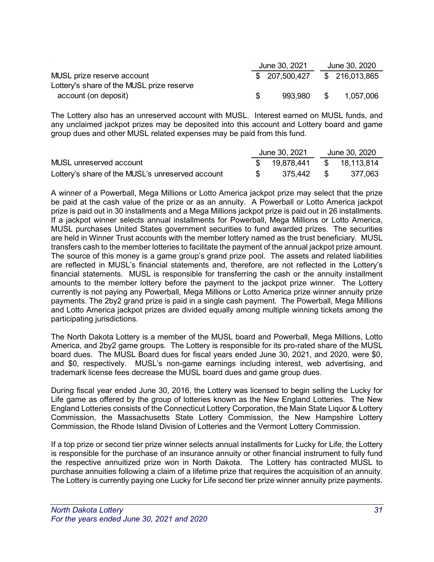|                                           | June 30, 2021  | June 30, 2020  |
|-------------------------------------------|----------------|----------------|
| MUSL prize reserve account                | \$ 207,500,427 | \$ 216,013,865 |
| Lottery's share of the MUSL prize reserve |                |                |
| account (on deposit)                      | 993.980        | 1,057,006      |

The Lottery also has an unreserved account with MUSL. Interest earned on MUSL funds, and any unclaimed jackpot prizes may be deposited into this account and Lottery board and game group dues and other MUSL related expenses may be paid from this fund.

|                                                  |  | June 30, 2021 | June 30, 2020 |               |
|--------------------------------------------------|--|---------------|---------------|---------------|
| MUSL unreserved account                          |  | \$ 19.878.441 |               | \$ 18,113,814 |
| Lottery's share of the MUSL's unreserved account |  | 375.442       |               | 377.063       |

A winner of a Powerball, Mega Millions or Lotto America jackpot prize may select that the prize be paid at the cash value of the prize or as an annuity. A Powerball or Lotto America jackpot prize is paid out in 30 installments and a Mega Millions jackpot prize is paid out in 26 installments. If a jackpot winner selects annual installments for Powerball, Mega Millions or Lotto America, MUSL purchases United States government securities to fund awarded prizes. The securities are held in Winner Trust accounts with the member lottery named as the trust beneficiary. MUSL transfers cash to the member lotteries to facilitate the payment of the annual jackpot prize amount. The source of this money is a game group's grand prize pool. The assets and related liabilities are reflected in MUSL's financial statements and, therefore, are not reflected in the Lottery's financial statements. MUSL is responsible for transferring the cash or the annuity installment amounts to the member lottery before the payment to the jackpot prize winner. The Lottery currently is not paying any Powerball, Mega Millions or Lotto America prize winner annuity prize payments. The 2by2 grand prize is paid in a single cash payment. The Powerball, Mega Millions and Lotto America jackpot prizes are divided equally among multiple winning tickets among the participating jurisdictions.

The North Dakota Lottery is a member of the MUSL board and Powerball, Mega Millions, Lotto America, and 2by2 game groups. The Lottery is responsible for its pro-rated share of the MUSL board dues. The MUSL Board dues for fiscal years ended June 30, 2021, and 2020, were \$0, and \$0, respectively. MUSL's non-game earnings including interest, web advertising, and trademark license fees decrease the MUSL board dues and game group dues.

During fiscal year ended June 30, 2016, the Lottery was licensed to begin selling the Lucky for Life game as offered by the group of lotteries known as the New England Lotteries. The New England Lotteries consists of the Connecticut Lottery Corporation, the Main State Liquor & Lottery Commission, the Massachusetts State Lottery Commission, the New Hampshire Lottery Commission, the Rhode Island Division of Lotteries and the Vermont Lottery Commission.

If a top prize or second tier prize winner selects annual installments for Lucky for Life, the Lottery is responsible for the purchase of an insurance annuity or other financial instrument to fully fund the respective annuitized prize won in North Dakota. The Lottery has contracted MUSL to purchase annuities following a claim of a lifetime prize that requires the acquisition of an annuity. The Lottery is currently paying one Lucky for Life second tier prize winner annuity prize payments.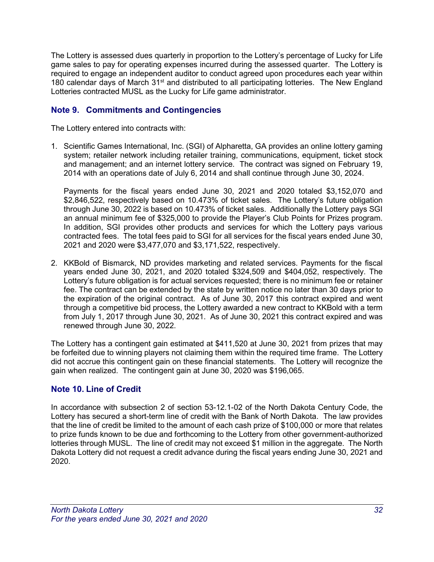The Lottery is assessed dues quarterly in proportion to the Lottery's percentage of Lucky for Life game sales to pay for operating expenses incurred during the assessed quarter. The Lottery is required to engage an independent auditor to conduct agreed upon procedures each year within 180 calendar days of March 31<sup>st</sup> and distributed to all participating lotteries. The New England Lotteries contracted MUSL as the Lucky for Life game administrator.

## **Note 9. Commitments and Contingencies**

The Lottery entered into contracts with:

1. Scientific Games International, Inc. (SGI) of Alpharetta, GA provides an online lottery gaming system; retailer network including retailer training, communications, equipment, ticket stock and management; and an internet lottery service. The contract was signed on February 19, 2014 with an operations date of July 6, 2014 and shall continue through June 30, 2024.

Payments for the fiscal years ended June 30, 2021 and 2020 totaled \$3,152,070 and \$2,846,522, respectively based on 10.473% of ticket sales. The Lottery's future obligation through June 30, 2022 is based on 10.473% of ticket sales. Additionally the Lottery pays SGI an annual minimum fee of \$325,000 to provide the Player's Club Points for Prizes program. In addition, SGI provides other products and services for which the Lottery pays various contracted fees. The total fees paid to SGI for all services for the fiscal years ended June 30, 2021 and 2020 were \$3,477,070 and \$3,171,522, respectively.

2. KKBold of Bismarck, ND provides marketing and related services. Payments for the fiscal years ended June 30, 2021, and 2020 totaled \$324,509 and \$404,052, respectively. The Lottery's future obligation is for actual services requested; there is no minimum fee or retainer fee. The contract can be extended by the state by written notice no later than 30 days prior to the expiration of the original contract. As of June 30, 2017 this contract expired and went through a competitive bid process, the Lottery awarded a new contract to KKBold with a term from July 1, 2017 through June 30, 2021. As of June 30, 2021 this contract expired and was renewed through June 30, 2022.

The Lottery has a contingent gain estimated at \$411,520 at June 30, 2021 from prizes that may be forfeited due to winning players not claiming them within the required time frame. The Lottery did not accrue this contingent gain on these financial statements. The Lottery will recognize the gain when realized. The contingent gain at June 30, 2020 was \$196,065.

## **Note 10. Line of Credit**

In accordance with subsection 2 of section 53-12.1-02 of the North Dakota Century Code, the Lottery has secured a short-term line of credit with the Bank of North Dakota. The law provides that the line of credit be limited to the amount of each cash prize of \$100,000 or more that relates to prize funds known to be due and forthcoming to the Lottery from other government-authorized lotteries through MUSL. The line of credit may not exceed \$1 million in the aggregate. The North Dakota Lottery did not request a credit advance during the fiscal years ending June 30, 2021 and 2020.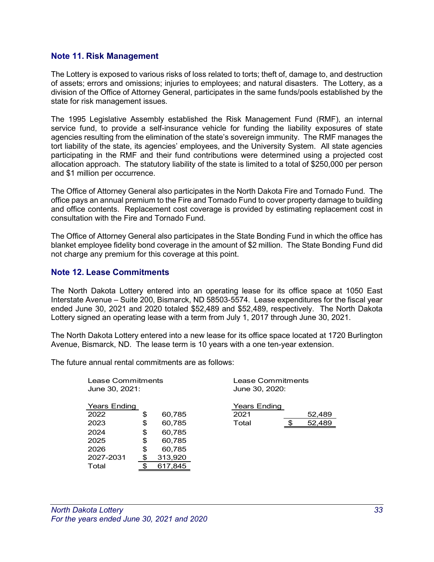## **Note 11. Risk Management**

The Lottery is exposed to various risks of loss related to torts; theft of, damage to, and destruction of assets; errors and omissions; injuries to employees; and natural disasters. The Lottery, as a division of the Office of Attorney General, participates in the same funds/pools established by the state for risk management issues.

The 1995 Legislative Assembly established the Risk Management Fund (RMF), an internal service fund, to provide a self-insurance vehicle for funding the liability exposures of state agencies resulting from the elimination of the state's sovereign immunity. The RMF manages the tort liability of the state, its agencies' employees, and the University System. All state agencies participating in the RMF and their fund contributions were determined using a projected cost allocation approach. The statutory liability of the state is limited to a total of \$250,000 per person and \$1 million per occurrence.

The Office of Attorney General also participates in the North Dakota Fire and Tornado Fund. The office pays an annual premium to the Fire and Tornado Fund to cover property damage to building and office contents. Replacement cost coverage is provided by estimating replacement cost in consultation with the Fire and Tornado Fund.

The Office of Attorney General also participates in the State Bonding Fund in which the office has blanket employee fidelity bond coverage in the amount of \$2 million. The State Bonding Fund did not charge any premium for this coverage at this point.

## **Note 12. Lease Commitments**

The North Dakota Lottery entered into an operating lease for its office space at 1050 East Interstate Avenue – Suite 200, Bismarck, ND 58503-5574. Lease expenditures for the fiscal year ended June 30, 2021 and 2020 totaled \$52,489 and \$52,489, respectively. The North Dakota Lottery signed an operating lease with a term from July 1, 2017 through June 30, 2021.

The North Dakota Lottery entered into a new lease for its office space located at 1720 Burlington Avenue, Bismarck, ND. The lease term is 10 years with a one ten-year extension.

The future annual rental commitments are as follows:

| Lease Commitments |    |         | Lease Commitments |                |        |  |
|-------------------|----|---------|-------------------|----------------|--------|--|
| June 30, 2021:    |    |         |                   | June 30, 2020: |        |  |
|                   |    |         |                   |                |        |  |
| Years Ending      |    |         | Years Ending      |                |        |  |
| 2022              | \$ | 60,785  | 2021              |                | 52,489 |  |
| 2023              | \$ | 60,785  | Total             | £.             | 52,489 |  |
| 2024              | \$ | 60,785  |                   |                |        |  |
| 2025              | \$ | 60,785  |                   |                |        |  |
| 2026              | \$ | 60,785  |                   |                |        |  |
| 2027-2031         | \$ | 313,920 |                   |                |        |  |
| Total             |    | 617.845 |                   |                |        |  |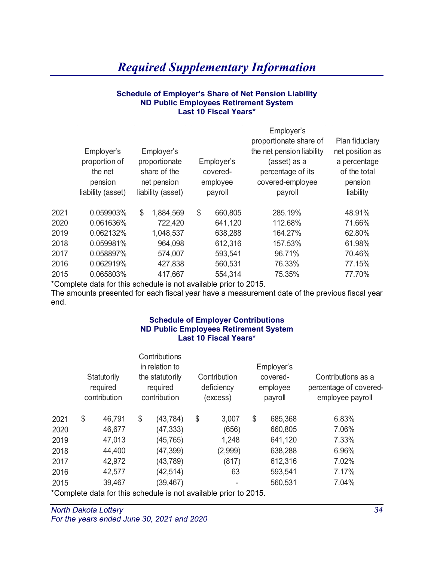# *Required Supplementary Information*

#### **Schedule of Employer's Share of Net Pension Liability ND Public Employees Retirement System Last 10 Fiscal Years\***

|      | Employer's<br>proportion of<br>the net<br>pension<br>liability (asset) | Employer's<br>proportionate<br>share of the<br>net pension<br>liability (asset) | Employer's<br>covered-<br>employee<br>payroll | Employer's<br>proportionate share of<br>the net pension liability<br>(asset) as a<br>percentage of its<br>covered-employee<br>payroll | Plan fiduciary<br>net position as<br>a percentage<br>of the total<br>pension<br>liability |
|------|------------------------------------------------------------------------|---------------------------------------------------------------------------------|-----------------------------------------------|---------------------------------------------------------------------------------------------------------------------------------------|-------------------------------------------------------------------------------------------|
| 2021 | 0.059903%                                                              | \$<br>1,884,569                                                                 | \$<br>660,805                                 | 285.19%                                                                                                                               | 48.91%                                                                                    |
| 2020 | 0.061636%                                                              | 722,420                                                                         | 641,120                                       | 112.68%                                                                                                                               | 71.66%                                                                                    |
| 2019 | 0.062132%                                                              | 1,048,537                                                                       | 638,288                                       | 164.27%                                                                                                                               | 62.80%                                                                                    |
| 2018 | 0.059981%                                                              | 964,098                                                                         | 612,316                                       | 157.53%                                                                                                                               | 61.98%                                                                                    |
| 2017 | 0.058897%                                                              | 574,007                                                                         | 593,541                                       | 96.71%                                                                                                                                | 70.46%                                                                                    |
| 2016 | 0.062919%                                                              | 427,838                                                                         | 560,531                                       | 76.33%                                                                                                                                | 77.15%                                                                                    |
| 2015 | 0.065803%                                                              | 417,667                                                                         | 554,314                                       | 75.35%                                                                                                                                | 77.70%                                                                                    |

\*Complete data for this schedule is not available prior to 2015.

The amounts presented for each fiscal year have a measurement date of the previous fiscal year end.

#### **Schedule of Employer Contributions ND Public Employees Retirement System Last 10 Fiscal Years\***

|      | Statutorily<br>required<br>contribution |        | Contributions<br>in relation to<br>the statutorily<br>required<br>contribution |                                                                  | Contribution<br>deficiency<br>(excess) |         | Employer's<br>covered-<br>employee<br>payroll |         | Contributions as a<br>percentage of covered-<br>employee payroll |
|------|-----------------------------------------|--------|--------------------------------------------------------------------------------|------------------------------------------------------------------|----------------------------------------|---------|-----------------------------------------------|---------|------------------------------------------------------------------|
|      |                                         |        |                                                                                |                                                                  |                                        |         |                                               |         |                                                                  |
| 2021 | \$                                      | 46,791 | \$                                                                             | (43, 784)                                                        | \$                                     | 3,007   | \$                                            | 685,368 | 6.83%                                                            |
| 2020 |                                         | 46,677 |                                                                                | (47, 333)                                                        |                                        | (656)   |                                               | 660,805 | 7.06%                                                            |
| 2019 |                                         | 47,013 |                                                                                | (45, 765)                                                        |                                        | 1,248   |                                               | 641,120 | 7.33%                                                            |
| 2018 |                                         | 44,400 |                                                                                | (47, 399)                                                        |                                        | (2,999) |                                               | 638,288 | 6.96%                                                            |
| 2017 |                                         | 42,972 |                                                                                | (43, 789)                                                        |                                        | (817)   |                                               | 612,316 | 7.02%                                                            |
| 2016 |                                         | 42,577 |                                                                                | (42, 514)                                                        |                                        | 63      |                                               | 593,541 | 7.17%                                                            |
| 2015 |                                         | 39,467 |                                                                                | (39, 467)                                                        |                                        |         |                                               | 560,531 | 7.04%                                                            |
|      |                                         |        |                                                                                | *Complete data for this schedule is not available prior to 2015. |                                        |         |                                               |         |                                                                  |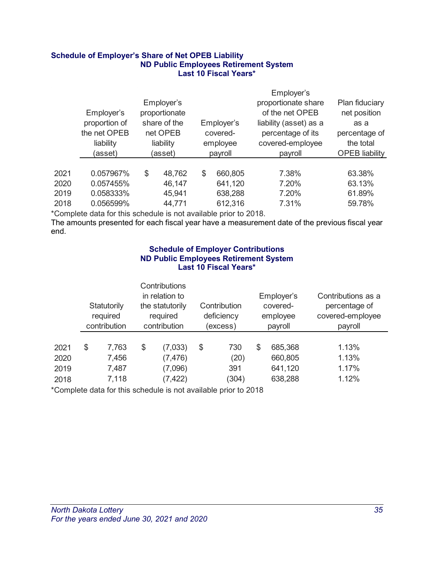## **Schedule of Employer's Share of Net OPEB Liability ND Public Employees Retirement System Last 10 Fiscal Years\***

|                              | Employer's<br>proportion of<br>the net OPEB<br>liability<br>(asset) | Employer's<br>proportionate<br>share of the<br>net OPEB<br>liability<br>(asset) |                                      | Employer's<br>covered-<br>employee<br>payroll  | Employer's<br>proportionate share<br>of the net OPEB<br>liability (asset) as a<br>percentage of its<br>covered-employee<br>payroll | Plan fiduciary<br>net position<br>as a<br>percentage of<br>the total<br><b>OPEB</b> liability |
|------------------------------|---------------------------------------------------------------------|---------------------------------------------------------------------------------|--------------------------------------|------------------------------------------------|------------------------------------------------------------------------------------------------------------------------------------|-----------------------------------------------------------------------------------------------|
| 2021<br>2020<br>2019<br>2018 | 0.057967%<br>0.057455%<br>0.058333%<br>0.056599%                    | \$                                                                              | 48,762<br>46,147<br>45,941<br>44,771 | \$<br>660,805<br>641,120<br>638,288<br>612,316 | 7.38%<br>7.20%<br>7.20%<br>7.31%                                                                                                   | 63.38%<br>63.13%<br>61.89%<br>59.78%                                                          |

\*Complete data for this schedule is not available prior to 2018.

The amounts presented for each fiscal year have a measurement date of the previous fiscal year end.

#### **Schedule of Employer Contributions ND Public Employees Retirement System Last 10 Fiscal Years\***

|                              | Statutorily<br>required<br>contribution |                                  | Contributions<br>in relation to<br>the statutorily<br>required<br>contribution |                                            | Contribution<br>deficiency<br>(excess) |                             | Employer's<br>covered-<br>employee<br>payroll |                                          | Contributions as a<br>percentage of<br>covered-employee<br>payroll |
|------------------------------|-----------------------------------------|----------------------------------|--------------------------------------------------------------------------------|--------------------------------------------|----------------------------------------|-----------------------------|-----------------------------------------------|------------------------------------------|--------------------------------------------------------------------|
| 2021<br>2020<br>2019<br>2018 | \$                                      | 7,763<br>7,456<br>7,487<br>7,118 | \$                                                                             | (7,033)<br>(7, 476)<br>(7,096)<br>(7, 422) | \$                                     | 730<br>(20)<br>391<br>(304) | \$                                            | 685,368<br>660,805<br>641,120<br>638,288 | 1.13%<br>1.13%<br>1.17%<br>1.12%                                   |

\*Complete data for this schedule is not available prior to 2018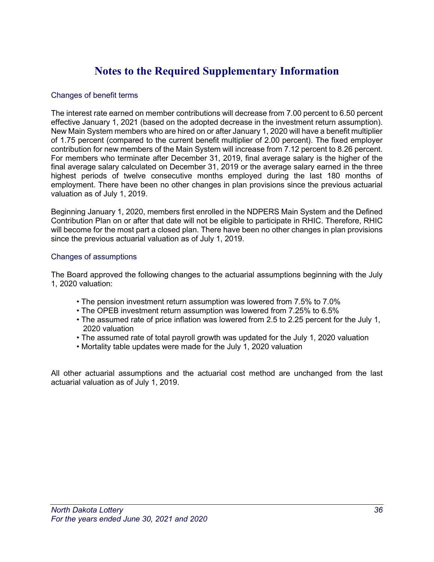# **Notes to the Required Supplementary Information**

## Changes of benefit terms

The interest rate earned on member contributions will decrease from 7.00 percent to 6.50 percent effective January 1, 2021 (based on the adopted decrease in the investment return assumption). New Main System members who are hired on or after January 1, 2020 will have a benefit multiplier of 1.75 percent (compared to the current benefit multiplier of 2.00 percent). The fixed employer contribution for new members of the Main System will increase from 7.12 percent to 8.26 percent. For members who terminate after December 31, 2019, final average salary is the higher of the final average salary calculated on December 31, 2019 or the average salary earned in the three highest periods of twelve consecutive months employed during the last 180 months of employment. There have been no other changes in plan provisions since the previous actuarial valuation as of July 1, 2019.

Beginning January 1, 2020, members first enrolled in the NDPERS Main System and the Defined Contribution Plan on or after that date will not be eligible to participate in RHIC. Therefore, RHIC will become for the most part a closed plan. There have been no other changes in plan provisions since the previous actuarial valuation as of July 1, 2019.

## Changes of assumptions

The Board approved the following changes to the actuarial assumptions beginning with the July 1, 2020 valuation:

- The pension investment return assumption was lowered from 7.5% to 7.0%
- The OPEB investment return assumption was lowered from 7.25% to 6.5%
- The assumed rate of price inflation was lowered from 2.5 to 2.25 percent for the July 1, 2020 valuation
- The assumed rate of total payroll growth was updated for the July 1, 2020 valuation
- Mortality table updates were made for the July 1, 2020 valuation

All other actuarial assumptions and the actuarial cost method are unchanged from the last actuarial valuation as of July 1, 2019.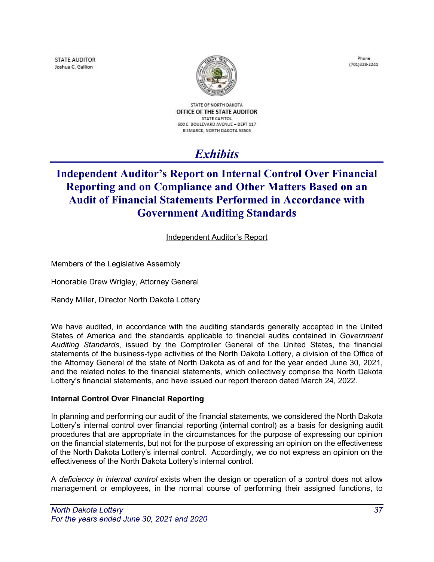**STATE AUDITOR** Joshua C. Gallion



Phone (701)328-2241

STATE OF NORTH DAKOTA OFFICE OF THE STATE AUDITOR STATE CAPITOL 600 E. BOULEVARD AVENUE - DEPT 117 BISMARCK, NORTH DAKOTA 58505

# *Exhibits*

## **Independent Auditor's Report on Internal Control Over Financial Reporting and on Compliance and Other Matters Based on an Audit of Financial Statements Performed in Accordance with Government Auditing Standards**

Independent Auditor's Report

Members of the Legislative Assembly

Honorable Drew Wrigley, Attorney General

Randy Miller, Director North Dakota Lottery

We have audited, in accordance with the auditing standards generally accepted in the United States of America and the standards applicable to financial audits contained in *Government Auditing Standards*, issued by the Comptroller General of the United States, the financial statements of the business-type activities of the North Dakota Lottery, a division of the Office of the Attorney General of the state of North Dakota as of and for the year ended June 30, 2021, and the related notes to the financial statements, which collectively comprise the North Dakota Lottery's financial statements, and have issued our report thereon dated March 24, 2022.

## **Internal Control Over Financial Reporting**

In planning and performing our audit of the financial statements, we considered the North Dakota Lottery's internal control over financial reporting (internal control) as a basis for designing audit procedures that are appropriate in the circumstances for the purpose of expressing our opinion on the financial statements, but not for the purpose of expressing an opinion on the effectiveness of the North Dakota Lottery's internal control. Accordingly, we do not express an opinion on the effectiveness of the North Dakota Lottery's internal control.

A *deficiency in internal control* exists when the design or operation of a control does not allow management or employees, in the normal course of performing their assigned functions, to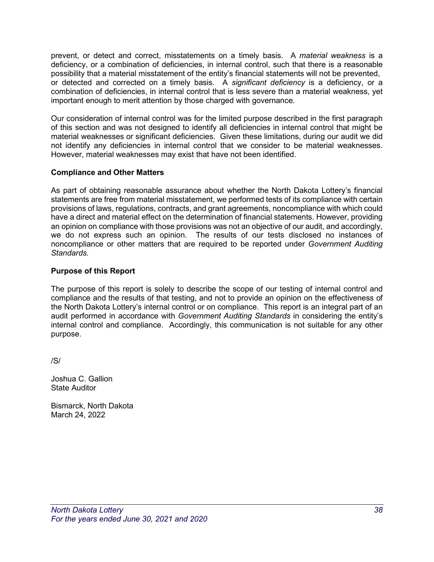prevent, or detect and correct, misstatements on a timely basis. A *material weakness* is a deficiency, or a combination of deficiencies, in internal control, such that there is a reasonable possibility that a material misstatement of the entity's financial statements will not be prevented, or detected and corrected on a timely basis. A *significant deficiency* is a deficiency, or a combination of deficiencies, in internal control that is less severe than a material weakness, yet important enough to merit attention by those charged with governance.

Our consideration of internal control was for the limited purpose described in the first paragraph of this section and was not designed to identify all deficiencies in internal control that might be material weaknesses or significant deficiencies. Given these limitations, during our audit we did not identify any deficiencies in internal control that we consider to be material weaknesses. However, material weaknesses may exist that have not been identified.

## **Compliance and Other Matters**

As part of obtaining reasonable assurance about whether the North Dakota Lottery's financial statements are free from material misstatement, we performed tests of its compliance with certain provisions of laws, regulations, contracts, and grant agreements, noncompliance with which could have a direct and material effect on the determination of financial statements. However, providing an opinion on compliance with those provisions was not an objective of our audit, and accordingly, we do not express such an opinion. The results of our tests disclosed no instances of noncompliance or other matters that are required to be reported under *Government Auditing Standards.*

## **Purpose of this Report**

The purpose of this report is solely to describe the scope of our testing of internal control and compliance and the results of that testing, and not to provide an opinion on the effectiveness of the North Dakota Lottery's internal control or on compliance. This report is an integral part of an audit performed in accordance with *Government Auditing Standards* in considering the entity's internal control and compliance. Accordingly, this communication is not suitable for any other purpose.

/S/

Joshua C. Gallion State Auditor

Bismarck, North Dakota March 24, 2022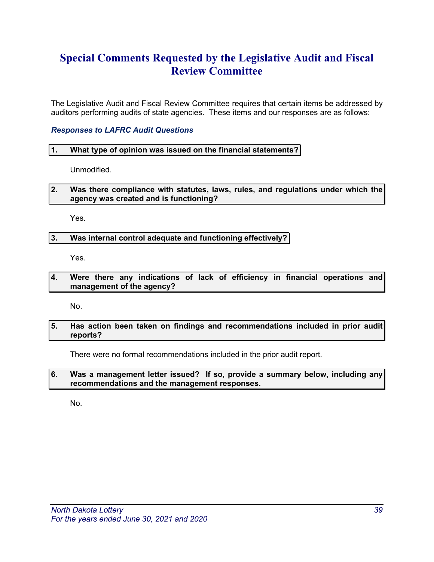## **Special Comments Requested by the Legislative Audit and Fiscal Review Committee**

The Legislative Audit and Fiscal Review Committee requires that certain items be addressed by auditors performing audits of state agencies. These items and our responses are as follows:

## *Responses to LAFRC Audit Questions*

## **1. What type of opinion was issued on the financial statements?**

Unmodified.

**2. Was there compliance with statutes, laws, rules, and regulations under which the agency was created and is functioning?** 

Yes.

## **3. Was internal control adequate and functioning effectively?**

Yes.

**4. Were there any indications of lack of efficiency in financial operations and management of the agency?** 

No.

**5. Has action been taken on findings and recommendations included in prior audit reports?** 

There were no formal recommendations included in the prior audit report.

**6. Was a management letter issued? If so, provide a summary below, including any recommendations and the management responses.**

No.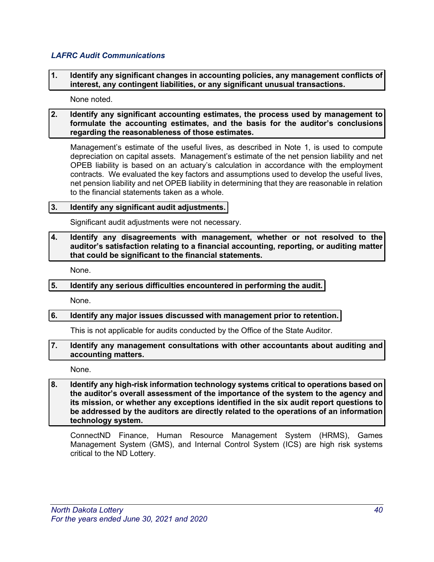## *LAFRC Audit Communications*

**1. Identify any significant changes in accounting policies, any management conflicts of interest, any contingent liabilities, or any significant unusual transactions.** 

None noted.

**2. Identify any significant accounting estimates, the process used by management to formulate the accounting estimates, and the basis for the auditor's conclusions regarding the reasonableness of those estimates.**

Management's estimate of the useful lives, as described in Note 1, is used to compute depreciation on capital assets. Management's estimate of the net pension liability and net OPEB liability is based on an actuary's calculation in accordance with the employment contracts. We evaluated the key factors and assumptions used to develop the useful lives, net pension liability and net OPEB liability in determining that they are reasonable in relation to the financial statements taken as a whole.

## **3. Identify any significant audit adjustments.**

Significant audit adjustments were not necessary.

**4. Identify any disagreements with management, whether or not resolved to the auditor's satisfaction relating to a financial accounting, reporting, or auditing matter that could be significant to the financial statements.** 

None.

## **5. Identify any serious difficulties encountered in performing the audit.**

None.

## **6. Identify any major issues discussed with management prior to retention.**

This is not applicable for audits conducted by the Office of the State Auditor.

#### **7. Identify any management consultations with other accountants about auditing and accounting matters.**

None.

**8. Identify any high-risk information technology systems critical to operations based on the auditor's overall assessment of the importance of the system to the agency and its mission, or whether any exceptions identified in the six audit report questions to be addressed by the auditors are directly related to the operations of an information technology system.** 

ConnectND Finance, Human Resource Management System (HRMS), Games Management System (GMS), and Internal Control System (ICS) are high risk systems critical to the ND Lottery.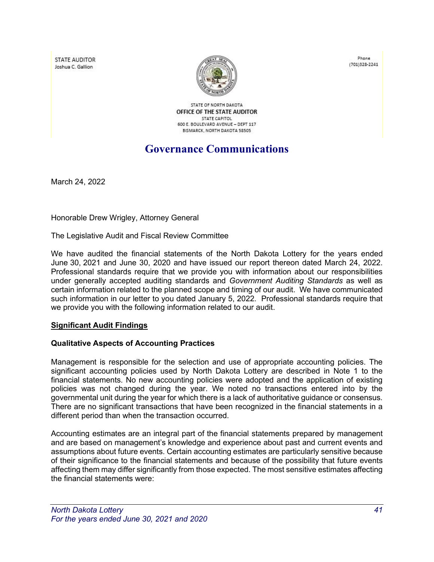**STATE AUDITOR** Joshua C. Gallion



Phone (701)328-2241

STATE OF NORTH DAKOTA OFFICE OF THE STATE AUDITOR STATE CAPITOL 600 E. BOULEVARD AVENUE - DEPT 117 BISMARCK, NORTH DAKOTA 58505

# **Governance Communications**

March 24, 2022

Honorable Drew Wrigley, Attorney General

The Legislative Audit and Fiscal Review Committee

We have audited the financial statements of the North Dakota Lottery for the years ended June 30, 2021 and June 30, 2020 and have issued our report thereon dated March 24, 2022. Professional standards require that we provide you with information about our responsibilities under generally accepted auditing standards and *Government Auditing Standards* as well as certain information related to the planned scope and timing of our audit. We have communicated such information in our letter to you dated January 5, 2022. Professional standards require that we provide you with the following information related to our audit.

## **Significant Audit Findings**

## **Qualitative Aspects of Accounting Practices**

Management is responsible for the selection and use of appropriate accounting policies. The significant accounting policies used by North Dakota Lottery are described in Note 1 to the financial statements. No new accounting policies were adopted and the application of existing policies was not changed during the year. We noted no transactions entered into by the governmental unit during the year for which there is a lack of authoritative guidance or consensus. There are no significant transactions that have been recognized in the financial statements in a different period than when the transaction occurred.

Accounting estimates are an integral part of the financial statements prepared by management and are based on management's knowledge and experience about past and current events and assumptions about future events. Certain accounting estimates are particularly sensitive because of their significance to the financial statements and because of the possibility that future events affecting them may differ significantly from those expected. The most sensitive estimates affecting the financial statements were: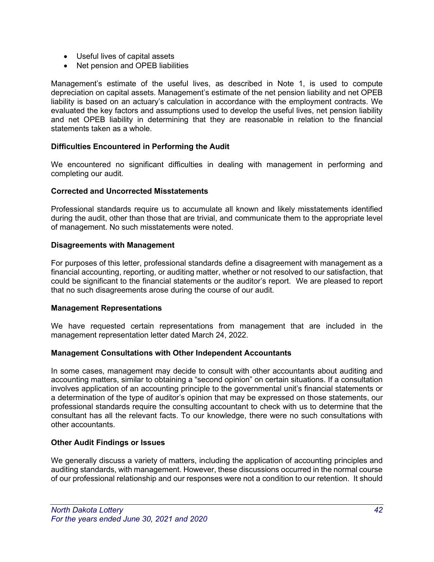- Useful lives of capital assets
- Net pension and OPEB liabilities

Management's estimate of the useful lives, as described in Note 1, is used to compute depreciation on capital assets. Management's estimate of the net pension liability and net OPEB liability is based on an actuary's calculation in accordance with the employment contracts. We evaluated the key factors and assumptions used to develop the useful lives, net pension liability and net OPEB liability in determining that they are reasonable in relation to the financial statements taken as a whole.

## **Difficulties Encountered in Performing the Audit**

We encountered no significant difficulties in dealing with management in performing and completing our audit.

## **Corrected and Uncorrected Misstatements**

Professional standards require us to accumulate all known and likely misstatements identified during the audit, other than those that are trivial, and communicate them to the appropriate level of management. No such misstatements were noted.

## **Disagreements with Management**

For purposes of this letter, professional standards define a disagreement with management as a financial accounting, reporting, or auditing matter, whether or not resolved to our satisfaction, that could be significant to the financial statements or the auditor's report. We are pleased to report that no such disagreements arose during the course of our audit.

#### **Management Representations**

We have requested certain representations from management that are included in the management representation letter dated March 24, 2022.

## **Management Consultations with Other Independent Accountants**

In some cases, management may decide to consult with other accountants about auditing and accounting matters, similar to obtaining a "second opinion" on certain situations. If a consultation involves application of an accounting principle to the governmental unit's financial statements or a determination of the type of auditor's opinion that may be expressed on those statements, our professional standards require the consulting accountant to check with us to determine that the consultant has all the relevant facts. To our knowledge, there were no such consultations with other accountants.

## **Other Audit Findings or Issues**

We generally discuss a variety of matters, including the application of accounting principles and auditing standards, with management. However, these discussions occurred in the normal course of our professional relationship and our responses were not a condition to our retention. It should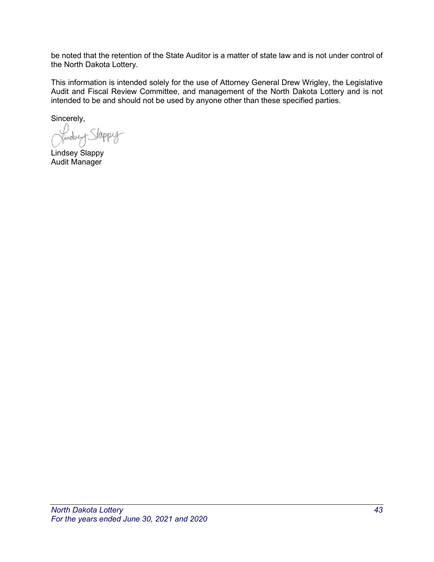be noted that the retention of the State Auditor is a matter of state law and is not under control of the North Dakota Lottery.

This information is intended solely for the use of Attorney General Drew Wrigley, the Legislative Audit and Fiscal Review Committee, and management of the North Dakota Lottery and is not intended to be and should not be used by anyone other than these specified parties.

Sincerely,

*<i>Fundary* Sloppy

Lindsey Slappy Audit Manager